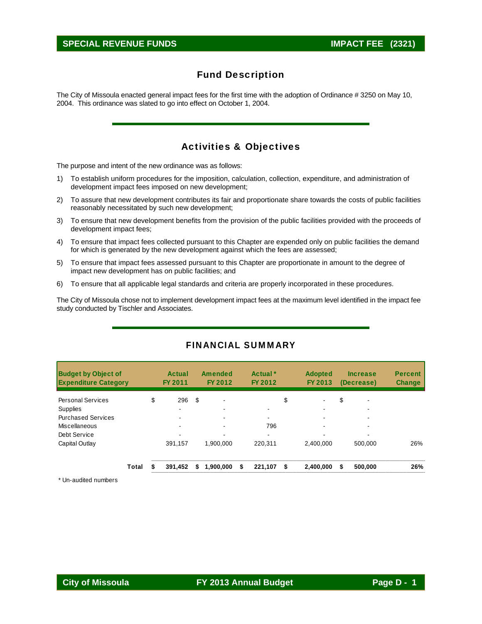The City of Missoula enacted general impact fees for the first time with the adoption of Ordinance # 3250 on May 10, 2004. This ordinance was slated to go into effect on October 1, 2004.

# Activities & Objectives

The purpose and intent of the new ordinance was as follows:

- 1) To establish uniform procedures for the imposition, calculation, collection, expenditure, and administration of development impact fees imposed on new development;
- 2) To assure that new development contributes its fair and proportionate share towards the costs of public facilities reasonably necessitated by such new development;
- 3) To ensure that new development benefits from the provision of the public facilities provided with the proceeds of development impact fees;
- 4) To ensure that impact fees collected pursuant to this Chapter are expended only on public facilities the demand for which is generated by the new development against which the fees are assessed;
- 5) To ensure that impact fees assessed pursuant to this Chapter are proportionate in amount to the degree of impact new development has on public facilities; and
- 6) To ensure that all applicable legal standards and criteria are properly incorporated in these procedures.

The City of Missoula chose not to implement development impact fees at the maximum level identified in the impact fee study conducted by Tischler and Associates.

| <b>Budget by Object of</b><br><b>Expenditure Category</b> |       | <b>Actual</b><br>FY 2011 |    | <b>Amended</b><br>FY 2012 |   | Actual <sup>*</sup><br>FY 2012 | <b>Adopted</b><br>FY 2013 |    | <b>Increase</b><br>(Decrease) | <b>Percent</b><br><b>Change</b> |
|-----------------------------------------------------------|-------|--------------------------|----|---------------------------|---|--------------------------------|---------------------------|----|-------------------------------|---------------------------------|
| <b>Personal Services</b>                                  |       | \$<br>296                | \$ |                           |   |                                | \$                        | \$ | $\overline{\phantom{0}}$      |                                 |
| <b>Supplies</b>                                           |       | -                        |    |                           |   | $\overline{\phantom{0}}$       | -                         |    |                               |                                 |
| <b>Purchased Services</b>                                 |       | -                        |    |                           |   | $\blacksquare$                 |                           |    | $\overline{\phantom{a}}$      |                                 |
| Miscellaneous                                             |       | $\overline{\phantom{a}}$ |    |                           |   | 796                            | -                         |    | $\overline{\phantom{a}}$      |                                 |
| Debt Service                                              |       |                          |    |                           |   | $\blacksquare$                 |                           |    | -                             |                                 |
| Capital Outlay                                            |       | 391,157                  |    | 1.900.000                 |   | 220.311                        | 2.400.000                 |    | 500.000                       | 26%                             |
|                                                           | Total | 391.452                  | S  | 1,900,000                 | S | 221,107                        | \$<br>2,400,000           | S  | 500,000                       | 26%                             |

## FINANCIAL SUMMARY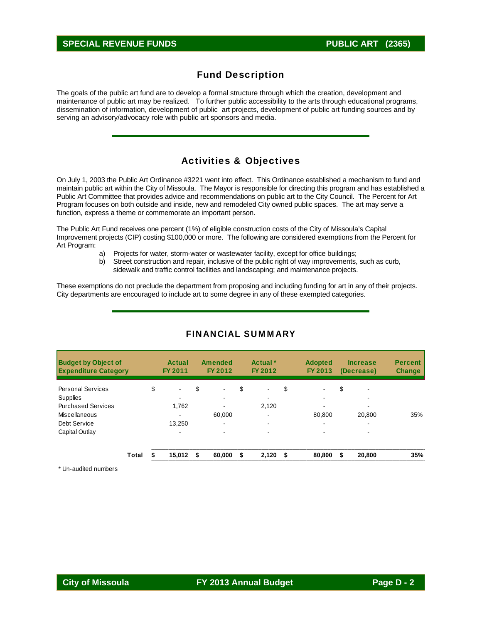## **SPECIAL REVENUE FUNDS PUBLIC ART (2365)**

# Fund Description

The goals of the public art fund are to develop a formal structure through which the creation, development and maintenance of public art may be realized. To further public accessibility to the arts through educational programs, dissemination of information, development of public art projects, development of public art funding sources and by serving an advisory/advocacy role with public art sponsors and media.

# Activities & Objectives

On July 1, 2003 the Public Art Ordinance #3221 went into effect. This Ordinance established a mechanism to fund and maintain public art within the City of Missoula. The Mayor is responsible for directing this program and has established a Public Art Committee that provides advice and recommendations on public art to the City Council. The Percent for Art Program focuses on both outside and inside, new and remodeled City owned public spaces. The art may serve a function, express a theme or commemorate an important person.

The Public Art Fund receives one percent (1%) of eligible construction costs of the City of Missoula's Capital Improvement projects (CIP) costing \$100,000 or more. The following are considered exemptions from the Percent for Art Program:

- a) Projects for water, storm-water or wastewater facility, except for office buildings;
- b) Street construction and repair, inclusive of the public right of way improvements, such as curb, sidewalk and traffic control facilities and landscaping; and maintenance projects.

These exemptions do not preclude the department from proposing and including funding for art in any of their projects. City departments are encouraged to include art to some degree in any of these exempted categories.

| <b>Budget by Object of</b><br><b>Expenditure Category</b> |       | <b>Actual</b><br>FY 2011 |      | <b>Amended</b><br>FY 2012 |    | Actual *<br>FY 2012 | <b>Adopted</b><br>FY 2013      | <b>Increase</b><br>(Decrease) | <b>Percent</b><br><b>Change</b> |
|-----------------------------------------------------------|-------|--------------------------|------|---------------------------|----|---------------------|--------------------------------|-------------------------------|---------------------------------|
| <b>Personal Services</b>                                  |       | \$<br>$\blacksquare$     | \$   | $\overline{\phantom{0}}$  | \$ | $\blacksquare$      | \$<br>$\overline{\phantom{a}}$ | \$                            |                                 |
| Supplies                                                  |       |                          |      |                           |    |                     |                                |                               |                                 |
| <b>Purchased Services</b>                                 |       | 1,762                    |      |                           |    | 2,120               |                                |                               |                                 |
| Miscellaneous                                             |       | ۰                        |      | 60.000                    |    | ۰.                  | 80.800                         | 20.800                        | 35%                             |
| Debt Service                                              |       | 13.250                   |      | -                         |    | -                   | $\overline{\phantom{0}}$       |                               |                                 |
| Capital Outlay                                            |       |                          |      |                           |    |                     |                                |                               |                                 |
|                                                           | Total | 15,012                   | - \$ | 60.000                    | S  | 2,120               | \$<br>80,800                   | \$<br>20,800                  | 35%                             |

## FINANCIAL SUMMARY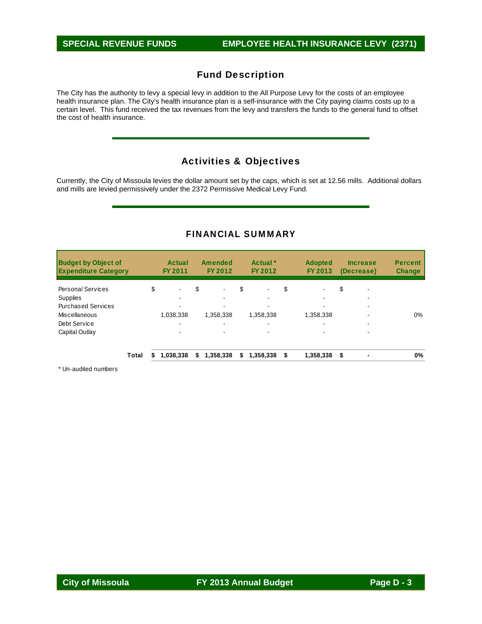The City has the authority to levy a special levy in addition to the All Purpose Levy for the costs of an employee health insurance plan. The City's health insurance plan is a self-insurance with the City paying claims costs up to a certain level. This fund received the tax revenues from the levy and transfers the funds to the general fund to offset the cost of health insurance.

# Activities & Objectives

Currently, the City of Missoula levies the dollar amount set by the caps, which is set at 12.56 mills. Additional dollars and mills are levied permissively under the 2372 Permissive Medical Levy Fund.

## FINANCIAL SUMMARY

| <b>Budget by Object of</b><br><b>Expenditure Category</b> | <b>Actual</b><br><b>FY 2011</b> |    | <b>Amended</b><br>FY 2012 | Actual *<br>FY 2012  | <b>Adopted</b><br>FY 2013 |     | <b>Increase</b><br>(Decrease) | <b>Percent</b><br><b>Change</b> |
|-----------------------------------------------------------|---------------------------------|----|---------------------------|----------------------|---------------------------|-----|-------------------------------|---------------------------------|
| <b>Personal Services</b>                                  | \$<br>۰                         | \$ | $\blacksquare$            | \$<br>$\blacksquare$ | \$                        | \$  | -                             |                                 |
| Supplies                                                  | -                               |    |                           | -                    | $\overline{\phantom{a}}$  |     |                               |                                 |
| <b>Purchased Services</b>                                 |                                 |    |                           |                      |                           |     |                               |                                 |
| Miscellaneous                                             | 1,038,338                       |    | 1,358,338                 | 1,358,338            | 1,358,338                 |     |                               | 0%                              |
| Debt Service                                              |                                 |    | $\overline{\phantom{a}}$  | -                    | $\overline{\phantom{0}}$  |     |                               |                                 |
| Capital Outlay                                            | ۰                               |    |                           | $\sim$               |                           |     | -                             |                                 |
| Total                                                     | 1,038,338                       | S  | 1,358,338                 | \$<br>1,358,338      | \$<br>1,358,338           | -\$ |                               | 0%                              |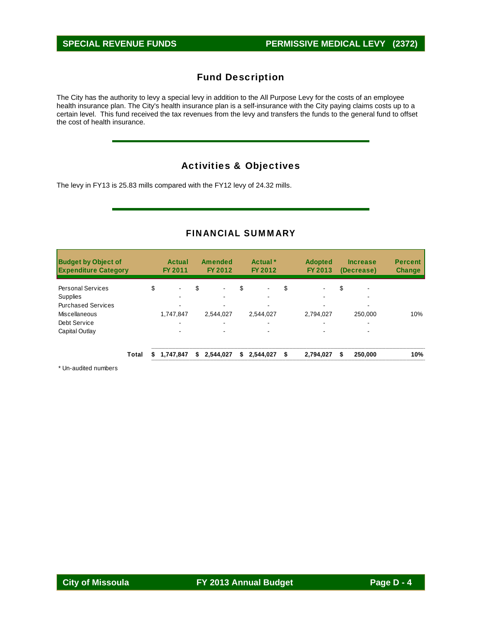The City has the authority to levy a special levy in addition to the All Purpose Levy for the costs of an employee health insurance plan. The City's health insurance plan is a self-insurance with the City paying claims costs up to a certain level. This fund received the tax revenues from the levy and transfers the funds to the general fund to offset the cost of health insurance.

# Activities & Objectives

The levy in FY13 is 25.83 mills compared with the FY12 levy of 24.32 mills.

## FINANCIAL SUMMARY

| <b>Budget by Object of</b><br><b>Expenditure Category</b> |    | <b>Actual</b><br>FY 2011 |    | <b>Amended</b><br>FY 2012 | Actual <sup>*</sup><br>FY 2012 | <b>Adopted</b><br>FY 2013 | <b>Increase</b><br>(Decrease) | <b>Percent</b><br><b>Change</b> |
|-----------------------------------------------------------|----|--------------------------|----|---------------------------|--------------------------------|---------------------------|-------------------------------|---------------------------------|
| <b>Personal Services</b>                                  | \$ | $\blacksquare$           | \$ | $\blacksquare$            | \$<br>$\blacksquare$           | \$                        | \$<br>-                       |                                 |
| Supplies                                                  |    |                          |    |                           |                                |                           |                               |                                 |
| <b>Purchased Services</b>                                 |    |                          |    |                           |                                |                           |                               |                                 |
| <b>Miscellaneous</b>                                      |    | 1,747,847                |    | 2,544,027                 | 2,544,027                      | 2,794,027                 | 250.000                       | 10%                             |
| Debt Service                                              |    | ۰.                       |    | ۰.                        |                                | -                         | ٠                             |                                 |
| Capital Outlay                                            |    | -                        |    |                           |                                |                           | -                             |                                 |
| Total                                                     | S  | 1,747,847                | S. | 2,544,027                 | \$<br>2,544,027                | \$<br>2.794.027           | \$<br>250,000                 | 10%                             |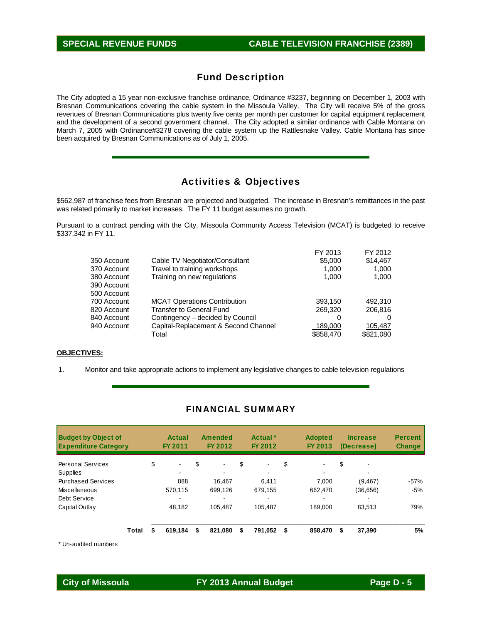The City adopted a 15 year non-exclusive franchise ordinance, Ordinance #3237, beginning on December 1, 2003 with Bresnan Communications covering the cable system in the Missoula Valley. The City will receive 5% of the gross revenues of Bresnan Communications plus twenty five cents per month per customer for capital equipment replacement and the development of a second government channel. The City adopted a similar ordinance with Cable Montana on March 7, 2005 with Ordinance#3278 covering the cable system up the Rattlesnake Valley. Cable Montana has since been acquired by Bresnan Communications as of July 1, 2005.

# Activities & Objectives

\$562,987 of franchise fees from Bresnan are projected and budgeted. The increase in Bresnan's remittances in the past was related primarily to market increases. The FY 11 budget assumes no growth.

Pursuant to a contract pending with the City, Missoula Community Access Television (MCAT) is budgeted to receive \$337,342 in FY 11.

|             |                                      | FY 2013   | FY 2012   |
|-------------|--------------------------------------|-----------|-----------|
| 350 Account | Cable TV Negotiator/Consultant       | \$5,000   | \$14.467  |
| 370 Account | Travel to training workshops         | 1.000     | 1,000     |
| 380 Account | Training on new regulations          | 1,000     | 1,000     |
| 390 Account |                                      |           |           |
| 500 Account |                                      |           |           |
| 700 Account | <b>MCAT Operations Contribution</b>  | 393,150   | 492.310   |
| 820 Account | <b>Transfer to General Fund</b>      | 269,320   | 206,816   |
| 840 Account | Contingency – decided by Council     | 0         |           |
| 940 Account | Capital-Replacement & Second Channel | 189,000   | 105.487   |
|             | Total                                | \$858,470 | \$821,080 |
|             |                                      |           |           |

### **OBJECTIVES:**

1. Monitor and take appropriate actions to implement any legislative changes to cable television regulations

## FINANCIAL SUMMARY

| <b>Budget by Object of</b><br><b>Expenditure Category</b> |       | Actual<br>FY 2011 | Amended<br>FY 2012   | Actual *<br>FY 2012  | <b>Adopted</b><br>FY 2013 | <b>Increase</b><br>(Decrease) | <b>Percent</b><br><b>Change</b> |
|-----------------------------------------------------------|-------|-------------------|----------------------|----------------------|---------------------------|-------------------------------|---------------------------------|
| <b>Personal Services</b>                                  |       | \$<br>$\sim$      | \$<br>$\blacksquare$ | \$<br>$\blacksquare$ | \$                        | \$                            |                                 |
| <b>Supplies</b>                                           |       | ۰.                |                      | -                    |                           | ۰                             |                                 |
| <b>Purchased Services</b>                                 |       | 888               | 16.467               | 6.411                | 7.000                     | (9, 467)                      | $-57%$                          |
| Miscellaneous                                             |       | 570.115           | 699.126              | 679.155              | 662.470                   | (36.656)                      | $-5%$                           |
| Debt Service                                              |       |                   |                      | $\,$                 |                           | ۰                             |                                 |
| Capital Outlay                                            |       | 48,182            | 105.487              | 105,487              | 189.000                   | 83,513                        | 79%                             |
|                                                           | Total | 619,184           | \$<br>821.080        | \$<br>791.052        | \$<br>858,470             | \$<br>37,390                  | 5%                              |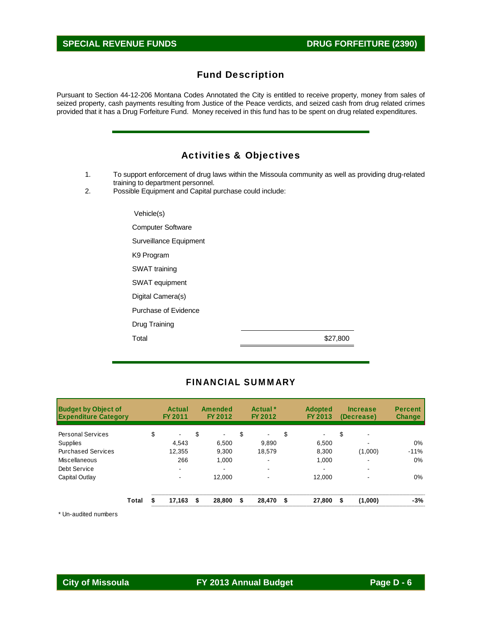# **SPECIAL REVENUE FUNDS** DRUG FORFEITURE (2390)

# Fund Description

Pursuant to Section 44-12-206 Montana Codes Annotated the City is entitled to receive property, money from sales of seized property, cash payments resulting from Justice of the Peace verdicts, and seized cash from drug related crimes provided that it has a Drug Forfeiture Fund. Money received in this fund has to be spent on drug related expenditures.

|    | <b>Activities &amp; Objectives</b>                                                                  |
|----|-----------------------------------------------------------------------------------------------------|
| 1. | To support enforcement of drug laws within the Missoula community as well as providing drug-related |
| 2. | training to department personnel.<br>Possible Equipment and Capital purchase could include:         |
|    | Vehicle(s)                                                                                          |
|    | <b>Computer Software</b>                                                                            |
|    | Surveillance Equipment                                                                              |
|    | K9 Program                                                                                          |
|    | SWAT training                                                                                       |
|    | SWAT equipment                                                                                      |
|    | Digital Camera(s)                                                                                   |
|    | Purchase of Evidence                                                                                |
|    | Drug Training                                                                                       |
|    | Total<br>\$27,800                                                                                   |

## FINANCIAL SUMMARY

| <b>Budget by Object of</b><br><b>Expenditure Category</b> |       | <b>FY 2011</b> | Actual                   | Amended<br><b>FY 2012</b> |    | Actual *<br><b>FY 2012</b> | <b>Adopted</b><br>FY 2013 |    | <b>Increase</b><br>(Decrease) | <b>Percent</b><br><b>Change</b> |
|-----------------------------------------------------------|-------|----------------|--------------------------|---------------------------|----|----------------------------|---------------------------|----|-------------------------------|---------------------------------|
| <b>Personal Services</b>                                  |       | \$             | $\blacksquare$           | \$<br>$\blacksquare$      | \$ | $\blacksquare$             | \$<br>$\blacksquare$      | \$ | $\overline{\phantom{0}}$      |                                 |
| Supplies                                                  |       |                | 4.543                    | 6,500                     |    | 9,890                      | 6,500                     |    | -                             | $0\%$                           |
| <b>Purchased Services</b>                                 |       |                | 12,355                   | 9,300                     |    | 18.579                     | 8.300                     |    | (1,000)                       | $-11%$                          |
| Miscellaneous                                             |       |                | 266                      | 1.000                     |    | -                          | 1.000                     |    | -                             | 0%                              |
| Debt Service                                              |       |                | $\overline{\phantom{0}}$ | $\overline{\phantom{a}}$  |    |                            | $\overline{\phantom{0}}$  |    | ۰                             |                                 |
| Capital Outlay                                            |       |                | ۰                        | 12.000                    |    |                            | 12.000                    |    | -                             | $0\%$                           |
|                                                           | Total |                | 17,163                   | \$<br>28,800              | S  | 28,470                     | \$<br>27,800              | £. | (1,000)                       | $-3%$                           |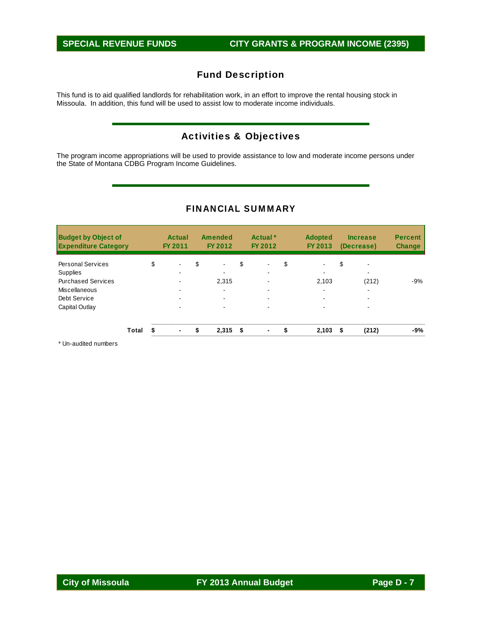This fund is to aid qualified landlords for rehabilitation work, in an effort to improve the rental housing stock in Missoula. In addition, this fund will be used to assist low to moderate income individuals.

# Activities & Objectives

The program income appropriations will be used to provide assistance to low and moderate income persons under the State of Montana CDBG Program Income Guidelines.

| <b>Budget by Object of</b><br><b>Expenditure Category</b> |       | <b>Actual</b><br>FY 2011 | <b>Amended</b><br>FY 2012      | Actual <sup>*</sup><br>FY 2012 | <b>Adopted</b><br>FY 2013 |    | <b>Increase</b><br>(Decrease) | <b>Percent</b><br><b>Change</b> |
|-----------------------------------------------------------|-------|--------------------------|--------------------------------|--------------------------------|---------------------------|----|-------------------------------|---------------------------------|
| <b>Personal Services</b>                                  |       | \$<br>$\sim$             | \$<br>$\overline{\phantom{0}}$ | \$<br>$\blacksquare$           | \$<br>۰.                  | \$ | $\overline{\phantom{a}}$      |                                 |
| <b>Supplies</b>                                           |       |                          | -                              | $\blacksquare$                 | $\,$                      |    | -                             |                                 |
| <b>Purchased Services</b>                                 |       | $\blacksquare$           | 2.315                          | $\overline{\phantom{a}}$       | 2,103                     |    | (212)                         | $-9%$                           |
| Miscellaneous                                             |       |                          | ۰.                             |                                | $\overline{\phantom{a}}$  |    | $\overline{\phantom{a}}$      |                                 |
| Debt Service                                              |       |                          |                                | $\overline{\phantom{0}}$       | -                         |    | -                             |                                 |
| Capital Outlay                                            |       | ۰                        |                                | $\overline{\phantom{a}}$       |                           |    | ۰                             |                                 |
|                                                           | Total | $\blacksquare$           | \$<br>$2,315$ \$               | $\overline{\phantom{0}}$       | \$<br>2,103               | £. | (212)                         | -9%                             |

## FINANCIAL SUMMARY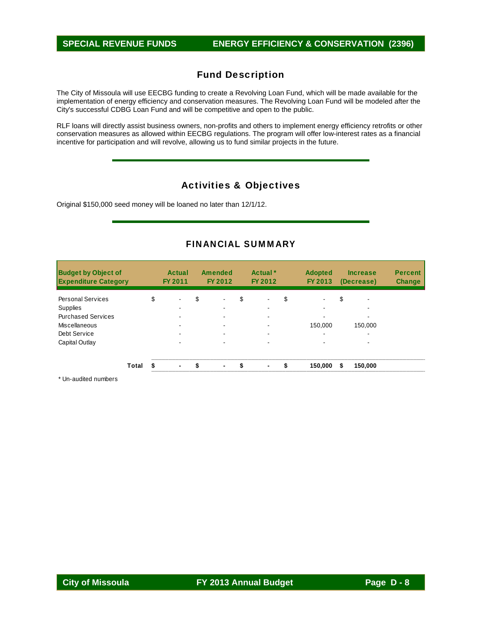The City of Missoula will use EECBG funding to create a Revolving Loan Fund, which will be made available for the implementation of energy efficiency and conservation measures. The Revolving Loan Fund will be modeled after the City's successful CDBG Loan Fund and will be competitive and open to the public.

RLF loans will directly assist business owners, non-profits and others to implement energy efficiency retrofits or other conservation measures as allowed within EECBG regulations. The program will offer low-interest rates as a financial incentive for participation and will revolve, allowing us to fund similar projects in the future.

# Activities & Objectives

Original \$150,000 seed money will be loaned no later than 12/1/12.

## FINANCIAL SUMMARY

| <b>Budget by Object of</b><br><b>Expenditure Category</b> |       | Actual<br>FY 2011    | Amended<br>FY 2012   | Actual *<br>FY 2012  | <b>Adopted</b><br>FY 2013      | <b>Increase</b><br>(Decrease) | <b>Percent</b><br><b>Change</b> |
|-----------------------------------------------------------|-------|----------------------|----------------------|----------------------|--------------------------------|-------------------------------|---------------------------------|
| <b>Personal Services</b>                                  |       | \$<br>$\blacksquare$ | \$                   | \$<br>$\blacksquare$ | \$<br>$\overline{\phantom{a}}$ | \$                            |                                 |
| Supplies                                                  |       |                      |                      | -                    | $\overline{\phantom{a}}$       |                               |                                 |
| <b>Purchased Services</b>                                 |       | ۰                    |                      | ۰.                   |                                | ۰                             |                                 |
| Miscellaneous                                             |       |                      |                      |                      | 150.000                        | 150,000                       |                                 |
| Debt Service                                              |       | ۰                    |                      | ۰                    | $\overline{\phantom{a}}$       | -                             |                                 |
| Capital Outlay                                            |       |                      |                      |                      |                                |                               |                                 |
|                                                           | Total | ۰                    | \$<br>$\blacksquare$ | \$<br>$\blacksquare$ | \$<br>150.000                  | \$<br>150,000                 |                                 |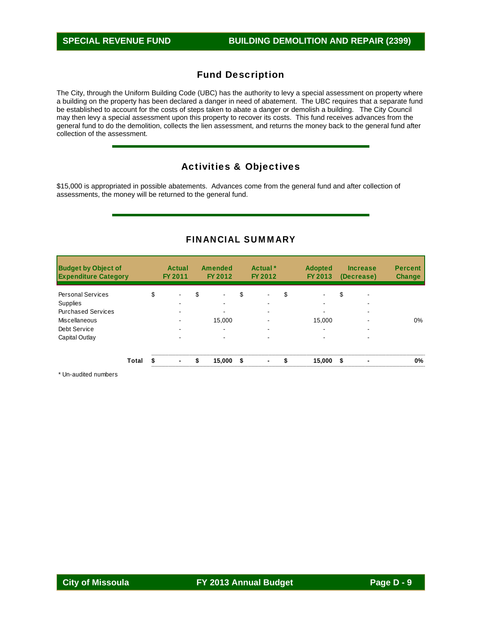The City, through the Uniform Building Code (UBC) has the authority to levy a special assessment on property where a building on the property has been declared a danger in need of abatement. The UBC requires that a separate fund be established to account for the costs of steps taken to abate a danger or demolish a building. The City Council may then levy a special assessment upon this property to recover its costs. This fund receives advances from the general fund to do the demolition, collects the lien assessment, and returns the money back to the general fund after collection of the assessment.

# Activities & Objectives

\$15,000 is appropriated in possible abatements. Advances come from the general fund and after collection of assessments, the money will be returned to the general fund.

| <b>Budget by Object of</b><br><b>Expenditure Category</b> |       | <b>Actual</b><br>FY 2011 | <b>Amended</b><br>FY 2012 | Actual *<br>FY 2012  |    | <b>Adopted</b><br>FY 2013 |     | <b>Increase</b><br>(Decrease) | <b>Percent</b><br><b>Change</b> |
|-----------------------------------------------------------|-------|--------------------------|---------------------------|----------------------|----|---------------------------|-----|-------------------------------|---------------------------------|
| <b>Personal Services</b>                                  |       | \$<br>$\blacksquare$     | \$                        | \$<br>$\,$           | \$ |                           | \$  | -                             |                                 |
| Supplies                                                  |       | -                        |                           | -                    |    | $\overline{\phantom{a}}$  |     |                               |                                 |
| <b>Purchased Services</b>                                 |       | ۰                        |                           | $\blacksquare$       |    |                           |     | ۰                             |                                 |
| Miscellaneous                                             |       |                          | 15.000                    | -                    |    | 15.000                    |     | -                             | $0\%$                           |
| Debt Service                                              |       | ۰                        |                           |                      |    | $\overline{\phantom{a}}$  |     |                               |                                 |
| Capital Outlay                                            |       |                          |                           |                      |    |                           |     |                               |                                 |
|                                                           | Total | ۰                        | \$<br>15,000              | \$<br>$\blacksquare$ | £. | 15,000                    | -\$ |                               | 0%                              |

## FINANCIAL SUMMARY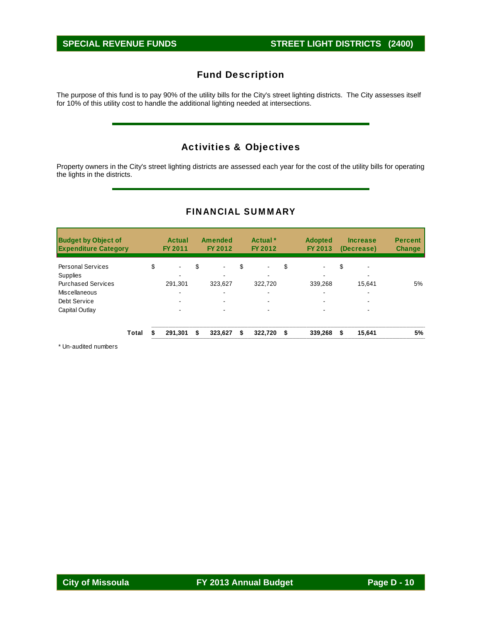The purpose of this fund is to pay 90% of the utility bills for the City's street lighting districts. The City assesses itself for 10% of this utility cost to handle the additional lighting needed at intersections.

# Activities & Objectives

Property owners in the City's street lighting districts are assessed each year for the cost of the utility bills for operating the lights in the districts.

|  |  |  |  |  | <b>FINANCIAL SUMMARY</b> |
|--|--|--|--|--|--------------------------|
|  |  |  |  |  |                          |

| <b>Budget by Object of</b><br><b>Expenditure Category</b> |       | <b>Actual</b><br>FY 2011 |    | <b>Amended</b><br>FY 2012 |    | Actual <sup>*</sup><br>FY 2012 |    | <b>Adopted</b><br>FY 2013 |    | <b>Increase</b><br>(Decrease) | <b>Percent</b><br><b>Change</b> |
|-----------------------------------------------------------|-------|--------------------------|----|---------------------------|----|--------------------------------|----|---------------------------|----|-------------------------------|---------------------------------|
| <b>Personal Services</b>                                  |       | \$<br>$\blacksquare$     | \$ | $\blacksquare$            | \$ | $\blacksquare$                 | \$ | $\blacksquare$            | \$ | $\overline{\phantom{0}}$      |                                 |
| Supplies                                                  |       |                          |    |                           |    | -                              |    | $\overline{\phantom{0}}$  |    | -                             |                                 |
| <b>Purchased Services</b>                                 |       | 291.301                  |    | 323.627                   |    | 322.720                        |    | 339.268                   |    | 15.641                        | 5%                              |
| Miscellaneous                                             |       | ۰                        |    | $\blacksquare$            |    | $\blacksquare$                 |    | $\overline{\phantom{a}}$  |    | -                             |                                 |
| Debt Service                                              |       | ۰                        |    |                           |    |                                |    |                           |    |                               |                                 |
| Capital Outlay                                            |       |                          |    |                           |    |                                |    |                           |    |                               |                                 |
|                                                           | Total | 291.301                  | S  | 323.627                   | S  | 322,720                        | S. | 339,268                   | £. | 15,641                        | 5%                              |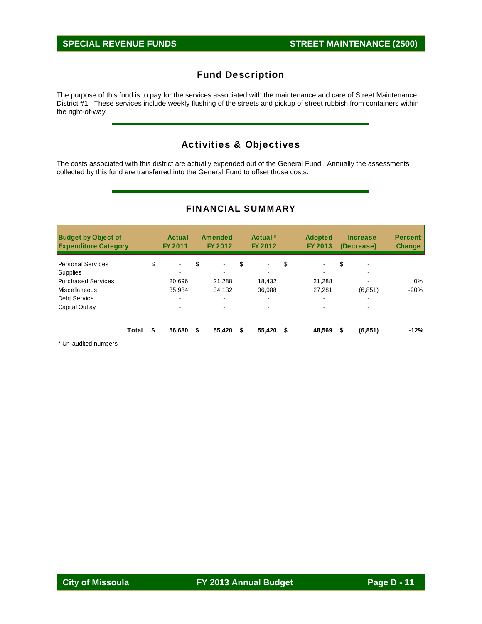The purpose of this fund is to pay for the services associated with the maintenance and care of Street Maintenance District #1. These services include weekly flushing of the streets and pickup of street rubbish from containers within the right-of-way

# Activities & Objectives

The costs associated with this district are actually expended out of the General Fund. Annually the assessments collected by this fund are transferred into the General Fund to offset those costs.

| <b>Budget by Object of</b><br><b>Expenditure Category</b> |       | Actual<br>FY 2011 |    | <b>Amended</b><br>FY 2012 | Actual <sup>*</sup><br>FY 2012 | <b>Adopted</b><br>FY 2013 |    | <b>Increase</b><br>(Decrease) | <b>Percent</b><br><b>Change</b> |
|-----------------------------------------------------------|-------|-------------------|----|---------------------------|--------------------------------|---------------------------|----|-------------------------------|---------------------------------|
| <b>Personal Services</b>                                  |       | \$<br>۰           | \$ | $\blacksquare$            | \$<br>$\blacksquare$           | \$<br>$\blacksquare$      | \$ | $\overline{\phantom{0}}$      |                                 |
| Supplies                                                  |       |                   |    |                           |                                |                           |    |                               |                                 |
| <b>Purchased Services</b>                                 |       | 20,696            |    | 21,288                    | 18,432                         | 21,288                    |    | -                             | 0%                              |
| <b>Miscellaneous</b>                                      |       | 35.984            |    | 34,132                    | 36.988                         | 27,281                    |    | (6, 851)                      | $-20%$                          |
| Debt Service                                              |       |                   |    | $\overline{\phantom{a}}$  |                                | $\overline{\phantom{a}}$  |    |                               |                                 |
| Capital Outlay                                            |       |                   |    |                           |                                |                           |    |                               |                                 |
|                                                           | Total | 56.680            | S  | 55,420                    | \$<br>55,420                   | \$<br>48,569              | S  | (6, 851)                      | $-12%$                          |

## FINANCIAL SUMMARY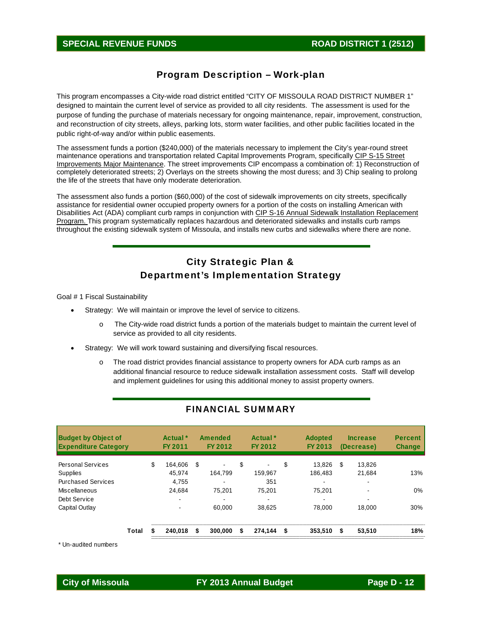## **SPECIAL REVENUE FUNDS ROAD DISTRICT 1 (2512)**

## Program Description – Work-plan

This program encompasses a City-wide road district entitled "CITY OF MISSOULA ROAD DISTRICT NUMBER 1" designed to maintain the current level of service as provided to all city residents. The assessment is used for the purpose of funding the purchase of materials necessary for ongoing maintenance, repair, improvement, construction, and reconstruction of city streets, alleys, parking lots, storm water facilities, and other public facilities located in the public right-of-way and/or within public easements.

The assessment funds a portion (\$240,000) of the materials necessary to implement the City's year-round street maintenance operations and transportation related Capital Improvements Program, specifically CIP S-15 Street Improvements Major Maintenance. The street improvements CIP encompass a combination of: 1) Reconstruction of completely deteriorated streets; 2) Overlays on the streets showing the most duress; and 3) Chip sealing to prolong the life of the streets that have only moderate deterioration.

The assessment also funds a portion (\$60,000) of the cost of sidewalk improvements on city streets, specifically assistance for residential owner occupied property owners for a portion of the costs on installing American with Disabilities Act (ADA) compliant curb ramps in conjunction with CIP S-16 Annual Sidewalk Installation Replacement Program. This program systematically replaces hazardous and deteriorated sidewalks and installs curb ramps throughout the existing sidewalk system of Missoula, and installs new curbs and sidewalks where there are none.

# City Strategic Plan & Department's Implementation Strategy

Goal # 1 Fiscal Sustainability

- Strategy: We will maintain or improve the level of service to citizens.
	- o The City-wide road district funds a portion of the materials budget to maintain the current level of service as provided to all city residents.
- Strategy: We will work toward sustaining and diversifying fiscal resources.
	- o The road district provides financial assistance to property owners for ADA curb ramps as an additional financial resource to reduce sidewalk installation assessment costs. Staff will develop and implement guidelines for using this additional money to assist property owners.

| <b>Budget by Object of</b><br><b>Expenditure Category</b> |       | Actual *<br>FY 2011      | Amended<br>FY 2012             | Actual <sup>*</sup><br>FY 2012 | <b>Adopted</b><br>FY 2013 |    | <b>Increase</b><br>(Decrease) | <b>Percent</b><br><b>Change</b> |
|-----------------------------------------------------------|-------|--------------------------|--------------------------------|--------------------------------|---------------------------|----|-------------------------------|---------------------------------|
| <b>Personal Services</b>                                  |       | \$<br>164.606            | \$<br>$\overline{\phantom{0}}$ | \$<br>$\sim$                   | \$<br>13.826              | \$ | 13.826                        |                                 |
| <b>Supplies</b>                                           |       | 45.974                   | 164.799                        | 159.967                        | 186.483                   |    | 21.684                        | 13%                             |
| <b>Purchased Services</b>                                 |       | 4.755                    |                                | 351                            | ۰                         |    | ۰.                            |                                 |
| Miscellaneous                                             |       | 24.684                   | 75.201                         | 75.201                         | 75.201                    |    | ۰                             | 0%                              |
| Debt Service                                              |       | $\overline{\phantom{a}}$ |                                | -                              | -                         |    |                               |                                 |
| Capital Outlay                                            |       |                          | 60.000                         | 38.625                         | 78,000                    |    | 18.000                        | 30%                             |
|                                                           | Total | 240.018                  | \$<br>300,000                  | 274,144                        | \$<br>353.510             | S  | 53.510                        | 18%                             |

## FINANCIAL SUMMARY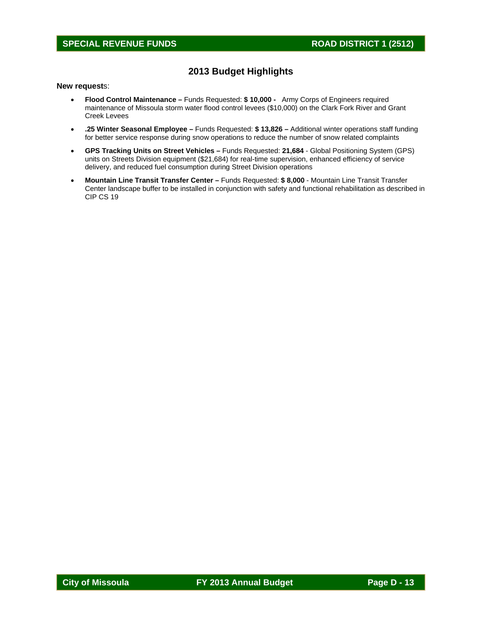# **SPECIAL REVENUE FUNDS** ROAD DISTRICT 1 (2512)

## **2013 Budget Highlights**

### **New request**s:

- **Flood Control Maintenance** Funds Requested: **\$ 10,000** Army Corps of Engineers required maintenance of Missoula storm water flood control levees (\$10,000) on the Clark Fork River and Grant Creek Levees
- **.25 Winter Seasonal Employee –** Funds Requested: **\$ 13,826** Additional winter operations staff funding for better service response during snow operations to reduce the number of snow related complaints
- **GPS Tracking Units on Street Vehicles** Funds Requested: **21,684** Global Positioning System (GPS) units on Streets Division equipment (\$21,684) for real-time supervision, enhanced efficiency of service delivery, and reduced fuel consumption during Street Division operations
- **Mountain Line Transit Transfer Center** Funds Requested: **\$ 8,000** Mountain Line Transit Transfer Center landscape buffer to be installed in conjunction with safety and functional rehabilitation as described in CIP CS 19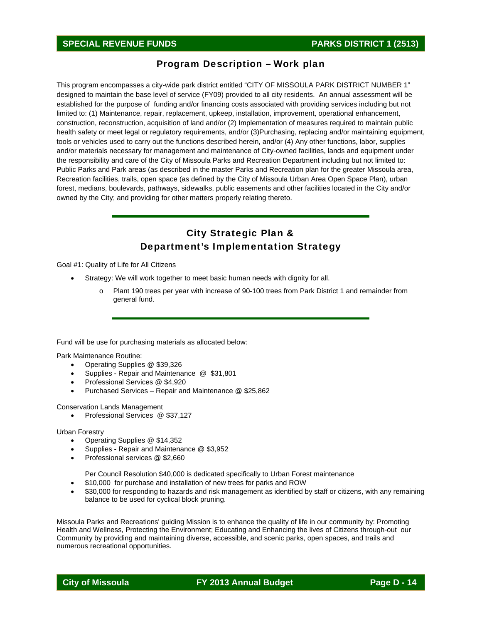## Program Description – Work plan

This program encompasses a city-wide park district entitled "CITY OF MISSOULA PARK DISTRICT NUMBER 1" designed to maintain the base level of service (FY09) provided to all city residents. An annual assessment will be established for the purpose of funding and/or financing costs associated with providing services including but not limited to: (1) Maintenance, repair, replacement, upkeep, installation, improvement, operational enhancement, construction, reconstruction, acquisition of land and/or (2) Implementation of measures required to maintain public health safety or meet legal or regulatory requirements, and/or (3)Purchasing, replacing and/or maintaining equipment, tools or vehicles used to carry out the functions described herein, and/or (4) Any other functions, labor, supplies and/or materials necessary for management and maintenance of City-owned facilities, lands and equipment under the responsibility and care of the City of Missoula Parks and Recreation Department including but not limited to: Public Parks and Park areas (as described in the master Parks and Recreation plan for the greater Missoula area, Recreation facilities, trails, open space (as defined by the City of Missoula Urban Area Open Space Plan), urban forest, medians, boulevards, pathways, sidewalks, public easements and other facilities located in the City and/or owned by the City; and providing for other matters properly relating thereto.

# City Strategic Plan & Department's Implementation Strategy

Goal #1: Quality of Life for All Citizens

- Strategy: We will work together to meet basic human needs with dignity for all.
	- o Plant 190 trees per year with increase of 90-100 trees from Park District 1 and remainder from general fund.

Fund will be use for purchasing materials as allocated below:

Park Maintenance Routine:

- Operating Supplies @ \$39,326
- Supplies Repair and Maintenance @ \$31,801
- Professional Services @ \$4,920
- Purchased Services Repair and Maintenance @ \$25,862

Conservation Lands Management

• Professional Services @ \$37,127

Urban Forestry

- 
- Operating Supplies @ \$14,352<br>• Supplies Repair and Maintena Supplies - Repair and Maintenance @ \$3,952
- Professional services @ \$2,660

Per Council Resolution \$40,000 is dedicated specifically to Urban Forest maintenance

- \$10,000 for purchase and installation of new trees for parks and ROW
- \$30,000 for responding to hazards and risk management as identified by staff or citizens, with any remaining balance to be used for cyclical block pruning.

Missoula Parks and Recreations' guiding Mission is to enhance the quality of life in our community by: Promoting Health and Wellness, Protecting the Environment; Educating and Enhancing the lives of Citizens through-out our Community by providing and maintaining diverse, accessible, and scenic parks, open spaces, and trails and numerous recreational opportunities.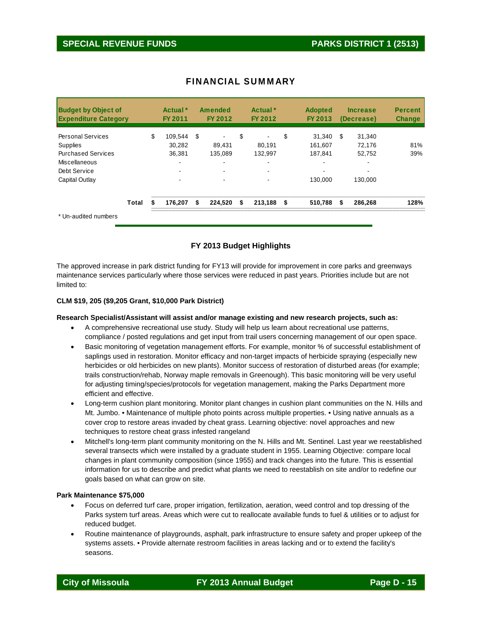| <b>Budget by Object of</b><br><b>Expenditure Category</b> |       | Actual <sup>*</sup><br><b>FY 2011</b> | <b>Amended</b><br>FY 2012      | Actual *<br>FY 2012      | <b>Adopted</b><br>FY 2013 | <b>Increase</b><br>(Decrease) | <b>Percent</b><br><b>Change</b> |
|-----------------------------------------------------------|-------|---------------------------------------|--------------------------------|--------------------------|---------------------------|-------------------------------|---------------------------------|
| <b>Personal Services</b>                                  |       | \$<br>109.544                         | \$<br>$\overline{\phantom{a}}$ | \$<br>$\blacksquare$     | \$<br>31.340              | \$<br>31.340                  |                                 |
| <b>Supplies</b>                                           |       | 30.282                                | 89,431                         | 80.191                   | 161.607                   | 72.176                        | 81%                             |
| <b>Purchased Services</b>                                 |       | 36,381                                | 135,089                        | 132,997                  | 187.841                   | 52,752                        | 39%                             |
| Miscellaneous                                             |       |                                       | -                              | ٠                        |                           |                               |                                 |
| Debt Service                                              |       |                                       |                                |                          |                           |                               |                                 |
| Capital Outlay                                            |       | $\blacksquare$                        | $\blacksquare$                 | $\overline{\phantom{a}}$ | 130.000                   | 130.000                       |                                 |
|                                                           | Total | 176,207                               | \$<br>224,520                  | \$<br>213,188 \$         | 510,788                   | \$<br>286,268                 | 128%                            |
| * Un-audited numbers                                      |       |                                       |                                |                          |                           |                               |                                 |

## FINANCIAL SUMMARY

## **FY 2013 Budget Highlights**

The approved increase in park district funding for FY13 will provide for improvement in core parks and greenways maintenance services particularly where those services were reduced in past years. Priorities include but are not limited to:

## **CLM \$19, 205 (\$9,205 Grant, \$10,000 Park District)**

### **Research Specialist/Assistant will assist and/or manage existing and new research projects, such as:**

- A comprehensive recreational use study. Study will help us learn about recreational use patterns, compliance / posted regulations and get input from trail users concerning management of our open space.
- Basic monitoring of vegetation management efforts. For example, monitor % of successful establishment of saplings used in restoration. Monitor efficacy and non-target impacts of herbicide spraying (especially new herbicides or old herbicides on new plants). Monitor success of restoration of disturbed areas (for example; trails construction/rehab, Norway maple removals in Greenough). This basic monitoring will be very useful for adjusting timing/species/protocols for vegetation management, making the Parks Department more efficient and effective.
- Long-term cushion plant monitoring. Monitor plant changes in cushion plant communities on the N. Hills and Mt. Jumbo. • Maintenance of multiple photo points across multiple properties. • Using native annuals as a cover crop to restore areas invaded by cheat grass. Learning objective: novel approaches and new techniques to restore cheat grass infested rangeland
- Mitchell's long-term plant community monitoring on the N. Hills and Mt. Sentinel. Last year we reestablished several transects which were installed by a graduate student in 1955. Learning Objective: compare local changes in plant community composition (since 1955) and track changes into the future. This is essential information for us to describe and predict what plants we need to reestablish on site and/or to redefine our goals based on what can grow on site.

### **Park Maintenance \$75,000**

- Focus on deferred turf care, proper irrigation, fertilization, aeration, weed control and top dressing of the Parks system turf areas. Areas which were cut to reallocate available funds to fuel & utilities or to adjust for reduced budget.
- Routine maintenance of playgrounds, asphalt, park infrastructure to ensure safety and proper upkeep of the systems assets. • Provide alternate restroom facilities in areas lacking and or to extend the facility's seasons.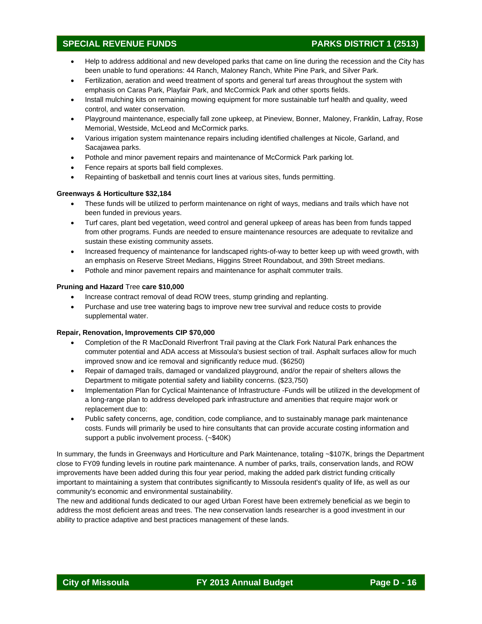## **SPECIAL REVENUE FUNDS PARKS DISTRICT 1 (2513)**

- Help to address additional and new developed parks that came on line during the recession and the City has been unable to fund operations: 44 Ranch, Maloney Ranch, White Pine Park, and Silver Park.
- Fertilization, aeration and weed treatment of sports and general turf areas throughout the system with emphasis on Caras Park, Playfair Park, and McCormick Park and other sports fields.
- Install mulching kits on remaining mowing equipment for more sustainable turf health and quality, weed control, and water conservation.
- Playground maintenance, especially fall zone upkeep, at Pineview, Bonner, Maloney, Franklin, Lafray, Rose Memorial, Westside, McLeod and McCormick parks.
- Various irrigation system maintenance repairs including identified challenges at Nicole, Garland, and Sacajawea parks.
- Pothole and minor pavement repairs and maintenance of McCormick Park parking lot.
- Fence repairs at sports ball field complexes.
- Repainting of basketball and tennis court lines at various sites, funds permitting.

## **Greenways & Horticulture \$32,184**

- These funds will be utilized to perform maintenance on right of ways, medians and trails which have not been funded in previous years.
- Turf cares, plant bed vegetation, weed control and general upkeep of areas has been from funds tapped from other programs. Funds are needed to ensure maintenance resources are adequate to revitalize and sustain these existing community assets.
- Increased frequency of maintenance for landscaped rights-of-way to better keep up with weed growth, with an emphasis on Reserve Street Medians, Higgins Street Roundabout, and 39th Street medians.
- Pothole and minor pavement repairs and maintenance for asphalt commuter trails.

### **Pruning and Hazard** Tree **care \$10,000**

- Increase contract removal of dead ROW trees, stump grinding and replanting.
- Purchase and use tree watering bags to improve new tree survival and reduce costs to provide supplemental water.

### **Repair, Renovation, Improvements CIP \$70,000**

- Completion of the R MacDonald Riverfront Trail paving at the Clark Fork Natural Park enhances the commuter potential and ADA access at Missoula's busiest section of trail. Asphalt surfaces allow for much improved snow and ice removal and significantly reduce mud. (\$6250)
- Repair of damaged trails, damaged or vandalized playground, and/or the repair of shelters allows the Department to mitigate potential safety and liability concerns. (\$23,750)
- Implementation Plan for Cyclical Maintenance of Infrastructure -Funds will be utilized in the development of a long-range plan to address developed park infrastructure and amenities that require major work or replacement due to:
- Public safety concerns, age, condition, code compliance, and to sustainably manage park maintenance costs. Funds will primarily be used to hire consultants that can provide accurate costing information and support a public involvement process. (~\$40K)

In summary, the funds in Greenways and Horticulture and Park Maintenance, totaling ~\$107K, brings the Department close to FY09 funding levels in routine park maintenance. A number of parks, trails, conservation lands, and ROW improvements have been added during this four year period, making the added park district funding critically important to maintaining a system that contributes significantly to Missoula resident's quality of life, as well as our community's economic and environmental sustainability.

The new and additional funds dedicated to our aged Urban Forest have been extremely beneficial as we begin to address the most deficient areas and trees. The new conservation lands researcher is a good investment in our ability to practice adaptive and best practices management of these lands.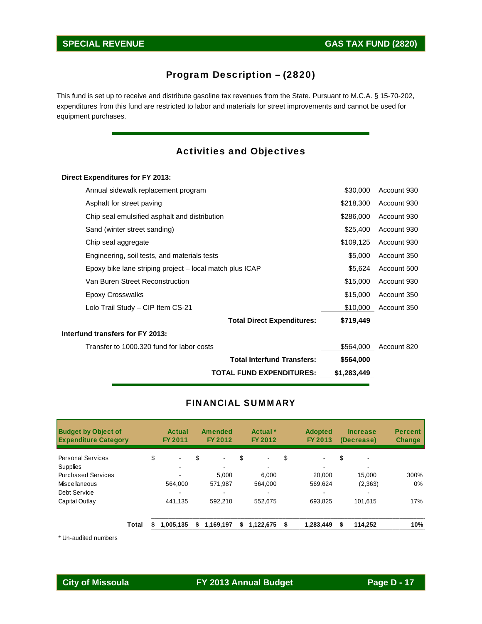# Program Description – (2820)

This fund is set up to receive and distribute gasoline tax revenues from the State. Pursuant to M.C.A. § 15-70-202, expenditures from this fund are restricted to labor and materials for street improvements and cannot be used for equipment purchases.

# Activities and Objectives

## **Direct Expenditures for FY 2013:**

|                                                          | <b>TOTAL FUND EXPENDITURES:</b>   | \$1,283,449 |             |
|----------------------------------------------------------|-----------------------------------|-------------|-------------|
|                                                          | <b>Total Interfund Transfers:</b> | \$564,000   |             |
| Transfer to 1000.320 fund for labor costs                |                                   | \$564.000   | Account 820 |
| Interfund transfers for FY 2013:                         |                                   |             |             |
|                                                          | <b>Total Direct Expenditures:</b> | \$719,449   |             |
| Lolo Trail Study - CIP Item CS-21                        |                                   | \$10,000    | Account 350 |
| <b>Epoxy Crosswalks</b>                                  |                                   | \$15,000    | Account 350 |
| Van Buren Street Reconstruction                          |                                   | \$15,000    | Account 930 |
| Epoxy bike lane striping project – local match plus ICAP |                                   | \$5,624     | Account 500 |
| Engineering, soil tests, and materials tests             |                                   | \$5,000     | Account 350 |
| Chip seal aggregate                                      |                                   | \$109,125   | Account 930 |
| Sand (winter street sanding)                             |                                   | \$25,400    | Account 930 |
| Chip seal emulsified asphalt and distribution            |                                   | \$286,000   | Account 930 |
| Asphalt for street paving                                |                                   | \$218,300   | Account 930 |
| Annual sidewalk replacement program                      |                                   | \$30,000    | Account 930 |

## FINANCIAL SUMMARY

| <b>Budget by Object of</b><br><b>Expenditure Category</b> |       | Actual<br>FY 2011 |    | Amended<br>FY 2012 | Actual <sup>*</sup><br>FY 2012 |    | <b>Adopted</b><br>FY 2013 | <b>Increase</b><br>(Decrease) | <b>Percent</b><br><b>Change</b> |
|-----------------------------------------------------------|-------|-------------------|----|--------------------|--------------------------------|----|---------------------------|-------------------------------|---------------------------------|
| <b>Personal Services</b>                                  |       | \$<br>$\sim$      | \$ | $\blacksquare$     | \$                             | \$ |                           | \$                            |                                 |
| <b>Supplies</b>                                           |       |                   |    |                    |                                |    |                           |                               |                                 |
| <b>Purchased Services</b>                                 |       |                   |    | 5.000              | 6.000                          |    | 20,000                    | 15.000                        | 300%                            |
| Miscellaneous                                             |       | 564.000           |    | 571.987            | 564.000                        |    | 569.624                   | (2,363)                       | 0%                              |
| Debt Service                                              |       |                   |    |                    |                                |    |                           |                               |                                 |
| Capital Outlay                                            |       | 441,135           |    | 592.210            | 552,675                        |    | 693,825                   | 101,615                       | 17%                             |
|                                                           | Total | 1.005.135         | S  | 1,169,197          | \$<br>1.122.675                | S. | 1,283,449                 | \$<br>114.252                 | 10%                             |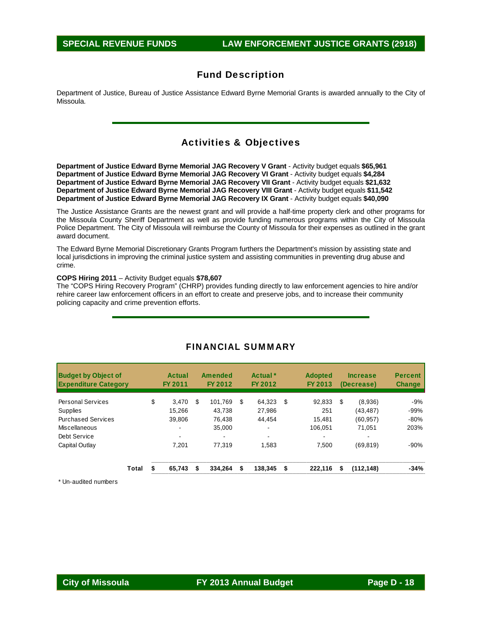Department of Justice, Bureau of Justice Assistance Edward Byrne Memorial Grants is awarded annually to the City of Missoula.

## Activities & Objectives

**Department of Justice Edward Byrne Memorial JAG Recovery V Grant** - Activity budget equals **\$65,961 Department of Justice Edward Byrne Memorial JAG Recovery VI Grant** - Activity budget equals **\$4,284 Department of Justice Edward Byrne Memorial JAG Recovery VII Grant** - Activity budget equals **\$21,632 Department of Justice Edward Byrne Memorial JAG Recovery VIII Grant** - Activity budget equals **\$11,542 Department of Justice Edward Byrne Memorial JAG Recovery IX Grant** - Activity budget equals **\$40,090** 

The Justice Assistance Grants are the newest grant and will provide a half-time property clerk and other programs for the Missoula County Sheriff Department as well as provide funding numerous programs within the City of Missoula Police Department. The City of Missoula will reimburse the County of Missoula for their expenses as outlined in the grant award document.

The Edward Byrne Memorial Discretionary Grants Program furthers the Department's mission by assisting state and local jurisdictions in improving the criminal justice system and assisting communities in preventing drug abuse and crime.

#### **COPS Hiring 2011** – Activity Budget equals **\$78,607**

The "COPS Hiring Recovery Program" (CHRP) provides funding directly to law enforcement agencies to hire and/or rehire career law enforcement officers in an effort to create and preserve jobs, and to increase their community policing capacity and crime prevention efforts.

| <b>Budget by Object of</b><br><b>Expenditure Category</b> |       | <b>Actual</b><br>FY 2011 |    | Amended<br>FY 2012 |   | Actual <sup>*</sup><br>FY 2012 | <b>Adopted</b><br>FY 2013 |    | <b>Increase</b><br>(Decrease) | <b>Percent</b><br><b>Change</b> |
|-----------------------------------------------------------|-------|--------------------------|----|--------------------|---|--------------------------------|---------------------------|----|-------------------------------|---------------------------------|
| <b>Personal Services</b>                                  |       | \$<br>3.470              | S  | 101.769            | S | 64.323                         | \$<br>92,833              | \$ | (8,936)                       | $-9%$                           |
| <b>Supplies</b>                                           |       | 15.266                   |    | 43.738             |   | 27,986                         | 251                       |    | (43, 487)                     | $-99%$                          |
| <b>Purchased Services</b>                                 |       | 39.806                   |    | 76.438             |   | 44.454                         | 15.481                    |    | (60, 957)                     | $-80%$                          |
| Miscellaneous                                             |       | ۰.                       |    | 35,000             |   |                                | 106.051                   |    | 71.051                        | 203%                            |
| Debt Service                                              |       | -                        |    |                    |   |                                | $\overline{\phantom{0}}$  |    | -                             |                                 |
| Capital Outlay                                            |       | 7.201                    |    | 77.319             |   | 1.583                          | 7.500                     |    | (69, 819)                     | $-90%$                          |
|                                                           | Total | 65.743                   | \$ | 334.264            | S | 138.345                        | \$<br>222.116             | S  | (112, 148)                    | $-34%$                          |

## FINANCIAL SUMMARY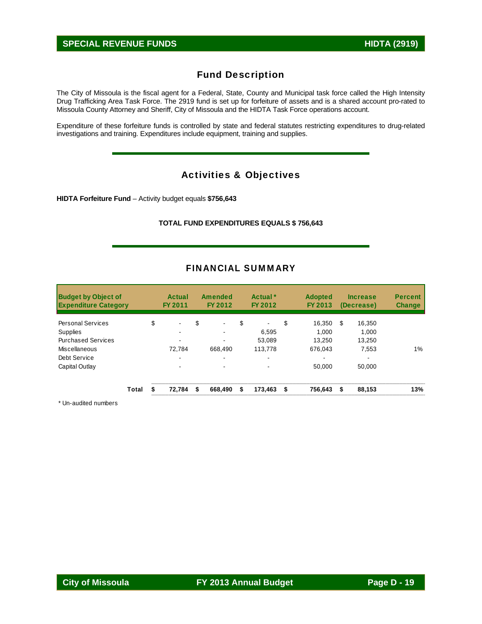The City of Missoula is the fiscal agent for a Federal, State, County and Municipal task force called the High Intensity Drug Trafficking Area Task Force. The 2919 fund is set up for forfeiture of assets and is a shared account pro-rated to Missoula County Attorney and Sheriff, City of Missoula and the HIDTA Task Force operations account.

Expenditure of these forfeiture funds is controlled by state and federal statutes restricting expenditures to drug-related investigations and training. Expenditures include equipment, training and supplies.

# Activities & Objectives

**HIDTA Forfeiture Fund** – Activity budget equals **\$756,643** 

### **TOTAL FUND EXPENDITURES EQUALS \$ 756,643**

| <b>Budget by Object of</b><br><b>Expenditure Category</b> |       | Actual<br>FY 2011    |    | Amended<br>FY 2012 | Actual <sup>*</sup><br>FY 2012 | <b>Adopted</b><br>FY 2013 |   | <b>Increase</b><br>(Decrease) | <b>Percent</b><br><b>Change</b> |
|-----------------------------------------------------------|-------|----------------------|----|--------------------|--------------------------------|---------------------------|---|-------------------------------|---------------------------------|
| <b>Personal Services</b>                                  |       | \$<br>$\blacksquare$ | \$ | $\blacksquare$     | \$<br>$\blacksquare$           | \$<br>16,350              | S | 16,350                        |                                 |
| <b>Supplies</b>                                           |       | -                    |    | $\,$               | 6.595                          | 1.000                     |   | 1,000                         |                                 |
| <b>Purchased Services</b>                                 |       | $\blacksquare$       |    | $\,$               | 53.089                         | 13.250                    |   | 13.250                        |                                 |
| Miscellaneous                                             |       | 72.784               |    | 668.490            | 113,778                        | 676.043                   |   | 7.553                         | 1%                              |
| Debt Service                                              |       | ۰                    |    | ۰                  |                                | ۰                         |   | ٠                             |                                 |
| Capital Outlay                                            |       | $\blacksquare$       |    | $\,$               | $\,$                           | 50.000                    |   | 50.000                        |                                 |
|                                                           | Total | 72,784               | S  | 668,490            | \$<br>$173,463$ \$             | 756.643                   | S | 88,153                        | 13%                             |

## FINANCIAL SUMMARY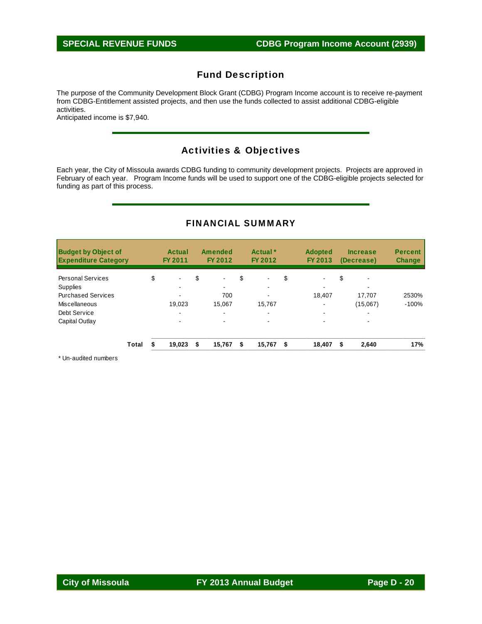The purpose of the Community Development Block Grant (CDBG) Program Income account is to receive re-payment from CDBG-Entitlement assisted projects, and then use the funds collected to assist additional CDBG-eligible activities.

Anticipated income is \$7,940.

# Activities & Objectives

Each year, the City of Missoula awards CDBG funding to community development projects. Projects are approved in February of each year. Program Income funds will be used to support one of the CDBG-eligible projects selected for funding as part of this process.

# FINANCIAL SUMMARY

| <b>Budget by Object of</b><br><b>Expenditure Category</b> |       | <b>Actual</b><br>FY 2011 | <b>Amended</b><br>FY 2012 |    | Actual <sup>*</sup><br>FY 2012 | <b>Adopted</b><br>FY 2013 |    | <b>Increase</b><br>(Decrease) | <b>Percent</b><br><b>Change</b> |
|-----------------------------------------------------------|-------|--------------------------|---------------------------|----|--------------------------------|---------------------------|----|-------------------------------|---------------------------------|
| <b>Personal Services</b>                                  |       | \$<br>۰                  | \$<br>$\blacksquare$      | \$ | $\overline{\phantom{0}}$       | \$                        | \$ | $\overline{\phantom{a}}$      |                                 |
| <b>Supplies</b>                                           |       | ۰.                       | $\overline{\phantom{a}}$  |    |                                |                           |    | -                             |                                 |
| <b>Purchased Services</b>                                 |       |                          | 700                       |    |                                | 18.407                    |    | 17.707                        | 2530%                           |
| Miscellaneous                                             |       | 19,023                   | 15.067                    |    | 15.767                         | $\overline{\phantom{a}}$  |    | (15,067)                      | $-100%$                         |
| Debt Service                                              |       | ۰.                       | ۰.                        |    |                                |                           |    | ۰                             |                                 |
| Capital Outlay                                            |       | ۰                        |                           |    |                                |                           |    |                               |                                 |
|                                                           | Total | 19.023                   | \$<br>15,767              | S  | 15,767                         | \$<br>18.407              | S  | 2,640                         | 17%                             |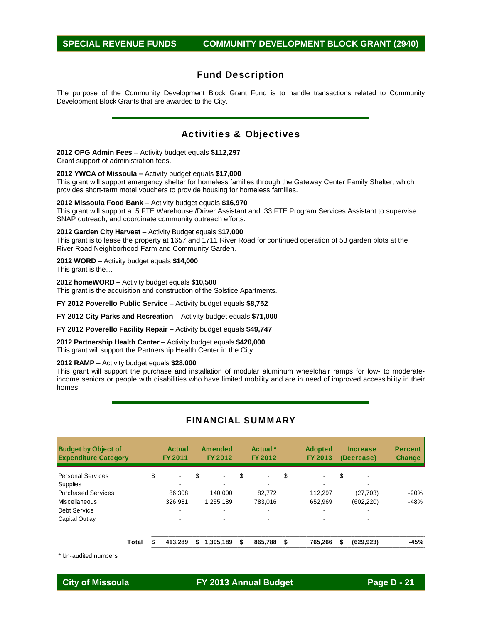## **SPECIAL REVENUE FUNDS COMMUNITY DEVELOPMENT BLOCK GRANT (2940)**

## Fund Description

The purpose of the Community Development Block Grant Fund is to handle transactions related to Community Development Block Grants that are awarded to the City.

## Activities & Objectives

#### **2012 OPG Admin Fees** – Activity budget equals **\$112,297**

Grant support of administration fees.

#### **2012 YWCA of Missoula –** Activity budget equals **\$17,000**

This grant will support emergency shelter for homeless families through the Gateway Center Family Shelter, which provides short-term motel vouchers to provide housing for homeless families.

#### **2012 Missoula Food Bank** – Activity budget equals **\$16,970**

This grant will support a .5 FTE Warehouse /Driver Assistant and .33 FTE Program Services Assistant to supervise SNAP outreach, and coordinate community outreach efforts.

#### **2012 Garden City Harvest** – Activity Budget equals \$**17,000**

This grant is to lease the property at 1657 and 1711 River Road for continued operation of 53 garden plots at the River Road Neighborhood Farm and Community Garden.

#### **2012 WORD** – Activity budget equals **\$14,000**

This grant is the…

**2012 homeWORD** – Activity budget equals **\$10,500**  This grant is the acquisition and construction of the Solstice Apartments.

**FY 2012 Poverello Public Service** – Activity budget equals **\$8,752** 

**FY 2012 City Parks and Recreation** – Activity budget equals **\$71,000** 

**FY 2012 Poverello Facility Repair** – Activity budget equals **\$49,747** 

**2012 Partnership Health Center** – Activity budget equals **\$420,000** This grant will support the Partnership Health Center in the City.

#### **2012 RAMP** – Activity budget equals **\$28,000**

This grant will support the purchase and installation of modular aluminum wheelchair ramps for low- to moderateincome seniors or people with disabilities who have limited mobility and are in need of improved accessibility in their homes.

| <b>Budget by Object of</b><br><b>Expenditure Category</b> |       | Actual<br>FY 2011    | Amended<br>FY 2012 | Actual *<br>FY 2012  | <b>Adopted</b><br>FY 2013           |    | <b>Increase</b><br>(Decrease) | <b>Percent</b><br><b>Change</b> |
|-----------------------------------------------------------|-------|----------------------|--------------------|----------------------|-------------------------------------|----|-------------------------------|---------------------------------|
| <b>Personal Services</b>                                  |       | \$<br>$\blacksquare$ | \$                 | \$<br>$\blacksquare$ | \$<br>$\blacksquare$                | \$ |                               |                                 |
| Supplies<br><b>Purchased Services</b>                     |       | 86.308               | 140.000            | -<br>82.772          | $\overline{\phantom{0}}$<br>112.297 |    | -<br>(27, 703)                | $-20%$                          |
| Miscellaneous                                             |       | 326.981              | 1,255,189          | 783.016              | 652.969                             |    | (602, 220)                    | $-48%$                          |
| Debt Service                                              |       | ۰                    |                    |                      | $\overline{\phantom{0}}$            |    |                               |                                 |
| Capital Outlay                                            |       | ۰                    |                    |                      | $\overline{\phantom{a}}$            |    |                               |                                 |
|                                                           | Total | 413.289              | \$<br>1,395,189    | \$<br>865,788        | \$<br>765.266                       | S  | (629, 923)                    | $-45%$                          |

## FINANCIAL SUMMARY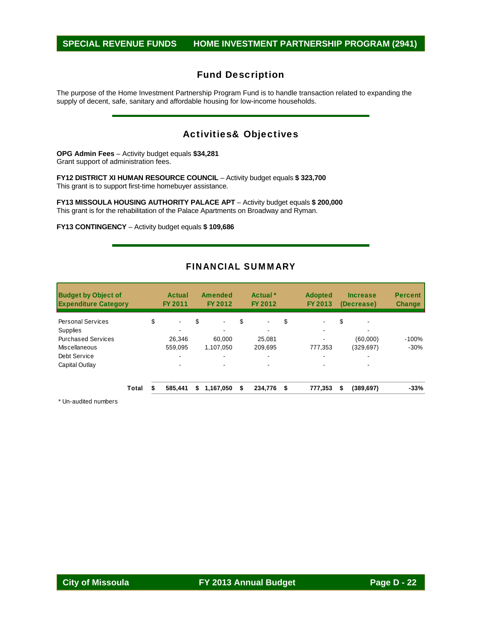# **SPECIAL REVENUE FUNDS HOME INVESTMENT PARTNERSHIP PROGRAM (2941)**

# Fund Description

The purpose of the Home Investment Partnership Program Fund is to handle transaction related to expanding the supply of decent, safe, sanitary and affordable housing for low-income households.

# Activities& Objectives

**OPG Admin Fees** – Activity budget equals **\$34,281**  Grant support of administration fees.

**FY12 DISTRICT XI HUMAN RESOURCE COUNCIL** – Activity budget equals **\$ 323,700**  This grant is to support first-time homebuyer assistance.

**FY13 MISSOULA HOUSING AUTHORITY PALACE APT** – Activity budget equals **\$ 200,000**  This grant is for the rehabilitation of the Palace Apartments on Broadway and Ryman.

**FY13 CONTINGENCY** – Activity budget equals **\$ 109,686** 

## FINANCIAL SUMMARY

| <b>Budget by Object of</b><br><b>Expenditure Category</b> |       | Actual<br>FY 2011    |    | Amended<br>FY 2012 |    | Actual <sup>*</sup><br>FY 2012 | <b>Adopted</b><br>FY 2013 | <b>Increase</b><br>(Decrease)  | <b>Percent</b><br><b>Change</b> |
|-----------------------------------------------------------|-------|----------------------|----|--------------------|----|--------------------------------|---------------------------|--------------------------------|---------------------------------|
| <b>Personal Services</b>                                  |       | \$<br>$\blacksquare$ | \$ | $\blacksquare$     | \$ | $\blacksquare$                 | \$                        | \$<br>$\overline{\phantom{0}}$ |                                 |
| <b>Supplies</b>                                           |       | -                    |    |                    |    |                                |                           |                                |                                 |
| <b>Purchased Services</b>                                 |       | 26.346               |    | 60.000             |    | 25.081                         |                           | (60,000)                       | $-100%$                         |
| Miscellaneous                                             |       | 559.095              |    | 1.107.050          |    | 209.695                        | 777.353                   | (329, 697)                     | $-30%$                          |
| Debt Service                                              |       | -                    |    |                    |    |                                | $\overline{\phantom{0}}$  |                                |                                 |
| Capital Outlay                                            |       |                      |    |                    |    |                                |                           |                                |                                 |
|                                                           | Total | 585.441              | S  | 1,167,050          | S  | 234,776 \$                     | 777.353                   | \$<br>(389, 697)               | $-33%$                          |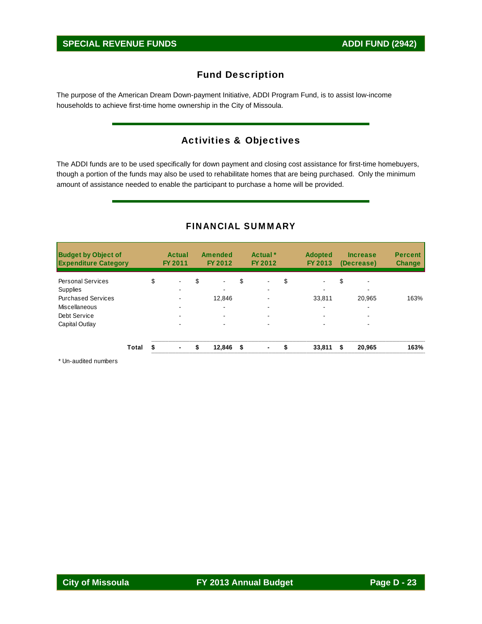The purpose of the American Dream Down-payment Initiative, ADDI Program Fund, is to assist low-income households to achieve first-time home ownership in the City of Missoula.

# Activities & Objectives

The ADDI funds are to be used specifically for down payment and closing cost assistance for first-time homebuyers, though a portion of the funds may also be used to rehabilitate homes that are being purchased. Only the minimum amount of assistance needed to enable the participant to purchase a home will be provided.

| <b>Budget by Object of</b><br><b>Expenditure Category</b> |       | <b>Actual</b><br>FY 2011 | <b>Amended</b><br>FY 2012 | Actual <sup>*</sup><br>FY 2012 | <b>Adopted</b><br>FY 2013 | <b>Increase</b><br>(Decrease)  | <b>Percent</b><br><b>Change</b> |
|-----------------------------------------------------------|-------|--------------------------|---------------------------|--------------------------------|---------------------------|--------------------------------|---------------------------------|
| <b>Personal Services</b>                                  |       | \$<br>$\blacksquare$     | \$<br>$\blacksquare$      | \$<br>$\blacksquare$           | \$<br>$\blacksquare$      | \$<br>$\overline{\phantom{0}}$ |                                 |
| Supplies                                                  |       |                          | -                         | -                              | $\overline{\phantom{0}}$  | -                              |                                 |
| <b>Purchased Services</b>                                 |       |                          | 12.846                    |                                | 33.811                    | 20.965                         | 163%                            |
| Miscellaneous                                             |       | ۰                        | $\blacksquare$            |                                | $\overline{\phantom{0}}$  | ٠                              |                                 |
| Debt Service                                              |       |                          | $\blacksquare$            |                                |                           | -                              |                                 |
| Capital Outlay                                            |       |                          | $\overline{\phantom{a}}$  |                                |                           | -                              |                                 |
|                                                           | Total | $\blacksquare$           | \$<br>12,846              | \$                             | 33,811                    | \$<br>20,965                   | 163%                            |

## FINANCIAL SUMMARY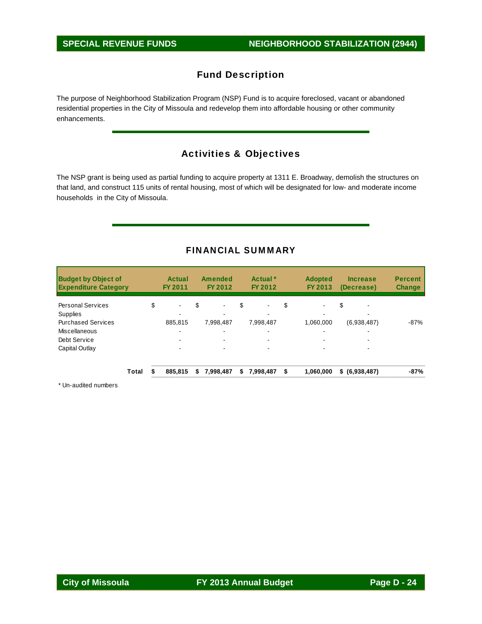The purpose of Neighborhood Stabilization Program (NSP) Fund is to acquire foreclosed, vacant or abandoned residential properties in the City of Missoula and redevelop them into affordable housing or other community enhancements.

# Activities & Objectives

The NSP grant is being used as partial funding to acquire property at 1311 E. Broadway, demolish the structures on that land, and construct 115 units of rental housing, most of which will be designated for low- and moderate income households in the City of Missoula.

# FINANCIAL SUMMARY

| Actual<br>FY 2011 |    | Amended<br>FY 2012 |    | Actual *<br>FY 2012 | <b>Adopted</b><br>FY 2013 | <b>Increase</b><br>(Decrease) | <b>Percent</b><br><b>Change</b> |
|-------------------|----|--------------------|----|---------------------|---------------------------|-------------------------------|---------------------------------|
| \$<br>۰           | \$ |                    | S  | $\blacksquare$      | \$<br>$\blacksquare$      | \$                            |                                 |
| 885.815           |    | 7,998,487          |    | 7,998,487           | 1.060.000                 | (6,938,487)                   | $-87%$                          |
|                   |    | -                  |    |                     | $\overline{\phantom{0}}$  |                               |                                 |
|                   |    |                    |    | $\blacksquare$      |                           |                               |                                 |
| -                 |    |                    |    | -                   |                           |                               |                                 |
| 885,815           | S  | 7,998,487          | \$ | 7,998,487           | \$<br>1,060,000           | \$ (6,938,487)                | $-87%$                          |
| Total             |    |                    |    |                     |                           |                               |                                 |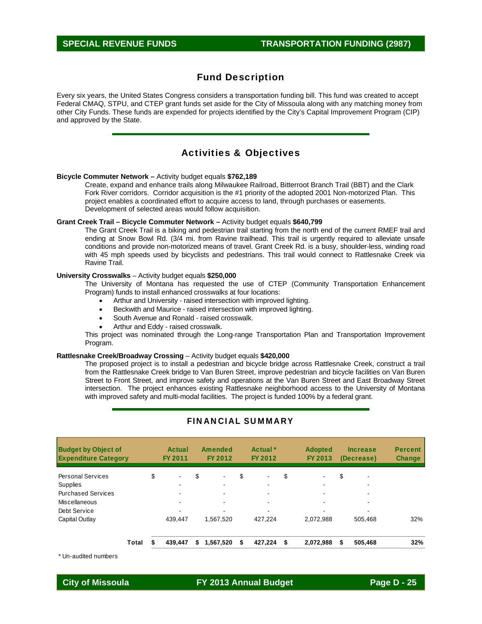Every six years, the United States Congress considers a transportation funding bill. This fund was created to accept Federal CMAQ, STPU, and CTEP grant funds set aside for the City of Missoula along with any matching money from other City Funds. These funds are expended for projects identified by the City's Capital Improvement Program (CIP) and approved by the State.

## Activities & Objectives

#### **Bicycle Commuter Network –** Activity budget equals **\$762,189**

Create, expand and enhance trails along Milwaukee Railroad, Bitterroot Branch Trail (BBT) and the Clark Fork River corridors. Corridor acquisition is the #1 priority of the adopted 2001 Non-motorized Plan. This project enables a coordinated effort to acquire access to land, through purchases or easements. Development of selected areas would follow acquisition.

#### **Grant Creek Trail – Bicycle Commuter Network –** Activity budget equals **\$640,799**

The Grant Creek Trail is a biking and pedestrian trail starting from the north end of the current RMEF trail and ending at Snow Bowl Rd. (3/4 mi. from Ravine trailhead. This trail is urgently required to alleviate unsafe conditions and provide non-motorized means of travel. Grant Creek Rd. is a busy, shoulder-less, winding road with 45 mph speeds used by bicyclists and pedestrians. This trail would connect to Rattlesnake Creek via Ravine Trail.

#### **University Crosswalks** – Activity budget equals **\$250,000**

The University of Montana has requested the use of CTEP (Community Transportation Enhancement Program) funds to install enhanced crosswalks at four locations:

- Arthur and University raised intersection with improved lighting.
- Beckwith and Maurice raised intersection with improved lighting.
- South Avenue and Ronald raised crosswalk.
- Arthur and Eddy raised crosswalk.

This project was nominated through the Long-range Transportation Plan and Transportation Improvement Program.

#### **Rattlesnake Creek/Broadway Crossing** – Activity budget equals **\$420,000**

The proposed project is to install a pedestrian and bicycle bridge across Rattlesnake Creek, construct a trail from the Rattlesnake Creek bridge to Van Buren Street, improve pedestrian and bicycle facilities on Van Buren Street to Front Street, and improve safety and operations at the Van Buren Street and East Broadway Street intersection. The project enhances existing Rattlesnake neighborhood access to the University of Montana with improved safety and multi-modal facilities. The project is funded 100% by a federal grant.

| <b>Budget by Object of</b><br><b>Expenditure Category</b> |       | Actual<br>FY 2011 |    | Amended<br>FY 2012       |    | Actual <sup>*</sup><br>FY 2012 | <b>Adopted</b><br>FY 2013 | <b>Increase</b><br>(Decrease)  | <b>Percent</b><br><b>Change</b> |
|-----------------------------------------------------------|-------|-------------------|----|--------------------------|----|--------------------------------|---------------------------|--------------------------------|---------------------------------|
| <b>Personal Services</b>                                  |       | \$<br>$\sim$      | \$ | $\blacksquare$           | \$ | $\blacksquare$                 | \$                        | \$<br>$\overline{\phantom{a}}$ |                                 |
| <b>Supplies</b>                                           |       |                   |    |                          |    | -                              | $\overline{\phantom{0}}$  | $\overline{\phantom{0}}$       |                                 |
| <b>Purchased Services</b>                                 |       | $\sim$            |    |                          |    | $\overline{\phantom{0}}$       |                           | ۰                              |                                 |
| Miscellaneous                                             |       | $\sim$            |    |                          |    | $\overline{\phantom{0}}$       |                           | $\sim$                         |                                 |
| Debt Service                                              |       | -                 |    | $\overline{\phantom{a}}$ |    |                                |                           | $\overline{\phantom{0}}$       |                                 |
| Capital Outlay                                            |       | 439.447           |    | 1.567.520                |    | 427.224                        | 2.072.988                 | 505.468                        | 32%                             |
|                                                           | Total | 439.447           | S  | 1.567.520                | S  | 427.224                        | \$<br>2,072,988           | \$<br>505.468                  | 32%                             |

## FINANCIAL SUMMARY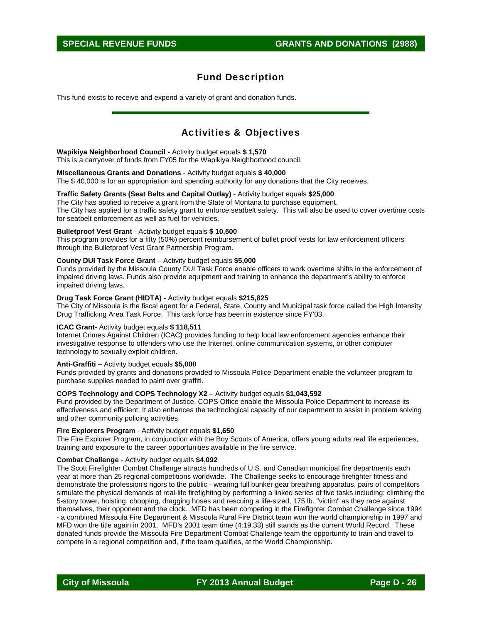This fund exists to receive and expend a variety of grant and donation funds.

# Activities & Objectives

#### **Wapikiya Neighborhood Council** - Activity budget equals **\$ 1,570**

This is a carryover of funds from FY05 for the Wapikiya Neighborhood council.

#### **Miscellaneous Grants and Donations** - Activity budget equals **\$ 40,000**

The \$ 40,000 is for an appropriation and spending authority for any donations that the City receives.

## **Traffic Safety Grants (Seat Belts and Capital Outlay)** - Activity budget equals **\$25,000**

The City has applied to receive a grant from the State of Montana to purchase equipment. The City has applied for a traffic safety grant to enforce seatbelt safety. This will also be used to cover overtime costs for seatbelt enforcement as well as fuel for vehicles.

#### **Bulletproof Vest Grant** - Activity budget equals **\$ 10,500**

This program provides for a fifty (50%) percent reimbursement of bullet proof vests for law enforcement officers through the Bulletproof Vest Grant Partnership Program.

#### **County DUI Task Force Grant** – Activity budget equals **\$5,000**

Funds provided by the Missoula County DUI Task Force enable officers to work overtime shifts in the enforcement of impaired driving laws. Funds also provide equipment and training to enhance the department's ability to enforce impaired driving laws.

#### **Drug Task Force Grant (HIDTA) -** Activity budget equals **\$215,825**

The City of Missoula is the fiscal agent for a Federal, State, County and Municipal task force called the High Intensity Drug Trafficking Area Task Force. This task force has been in existence since FY'03.

#### **ICAC Grant**- Activity budget equals **\$ 118,511**

Internet Crimes Against Children (ICAC) provides funding to help local law enforcement agencies enhance their investigative response to offenders who use the Internet, online communication systems, or other computer technology to sexually exploit children.

#### **Anti-Graffiti** – Activity budget equals **\$5,000**

Funds provided by grants and donations provided to Missoula Police Department enable the volunteer program to purchase supplies needed to paint over graffiti.

#### **COPS Technology and COPS Technology X2** – Activity budget equals **\$1,043,592**

Fund provided by the Department of Justice, COPS Office enable the Missoula Police Department to increase its effectiveness and efficient. It also enhances the technological capacity of our department to assist in problem solving and other community policing activities.

#### **Fire Explorers Program** - Activity budget equals **\$1,650**

The Fire Explorer Program, in conjunction with the Boy Scouts of America, offers young adults real life experiences, training and exposure to the career opportunities available in the fire service.

#### **Combat Challenge** - Activity budget equals **\$4,092**

The Scott Firefighter Combat Challenge attracts hundreds of U.S. and Canadian municipal fire departments each year at more than 25 regional competitions worldwide. The Challenge seeks to encourage firefighter fitness and demonstrate the profession's rigors to the public - wearing full bunker gear breathing apparatus, pairs of competitors simulate the physical demands of real-life firefighting by performing a linked series of five tasks including: climbing the 5-story tower, hoisting, chopping, dragging hoses and rescuing a life-sized, 175 lb. "victim" as they race against themselves, their opponent and the clock. MFD has been competing in the Firefighter Combat Challenge since 1994 - a combined Missoula Fire Department & Missoula Rural Fire District team won the world championship in 1997 and MFD won the title again in 2001. MFD's 2001 team time (4:19.33) still stands as the current World Record. These donated funds provide the Missoula Fire Department Combat Challenge team the opportunity to train and travel to compete in a regional competition and, if the team qualifies, at the World Championship.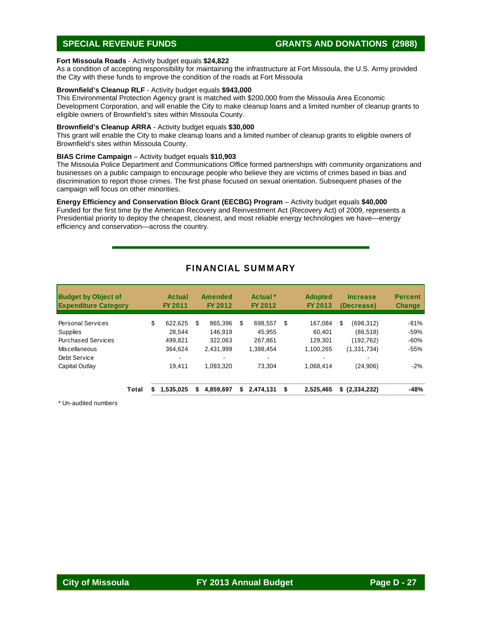## **SPECIAL REVENUE FUNDS GRANTS AND DONATIONS (2988)**

#### **Fort Missoula Roads** - Activity budget equals **\$24,822**

As a condition of accepting responsibility for maintaining the infrastructure at Fort Missoula, the U.S. Army provided the City with these funds to improve the condition of the roads at Fort Missoula

### **Brownfield's Cleanup RLF** - Activity budget equals **\$943,000**

This Environmental Protection Agency grant is matched with \$200,000 from the Missoula Area Economic Development Corporation, and will enable the City to make cleanup loans and a limited number of cleanup grants to eligible owners of Brownfield's sites within Missoula County.

#### **Brownfield's Cleanup ARRA** - Activity budget equals **\$30,000**

This grant will enable the City to make cleanup loans and a limited number of cleanup grants to eligible owners of Brownfield's sites within Missoula County.

#### **BIAS Crime Campaign** – Activity budget equals **\$10,903**

The Missoula Police Department and Communications Office formed partnerships with community organizations and businesses on a public campaign to encourage people who believe they are victims of crimes based in bias and discrimination to report those crimes. The first phase focused on sexual orientation. Subsequent phases of the campaign will focus on other minorities.

### **Energy Efficiency and Conservation Block Grant (EECBG) Program** – Activity budget equals **\$40,000**

Funded for the first time by the American Recovery and Reinvestment Act (Recovery Act) of 2009, represents a Presidential priority to deploy the cheapest, cleanest, and most reliable energy technologies we have—energy efficiency and conservation—across the country.

| <b>Budget by Object of</b><br><b>Expenditure Category</b> |       | Actual<br><b>FY 2011</b> |    | Amended<br>FY 2012 |    | Actual *<br>FY 2012 | <b>Adopted</b><br>FY 2013 | <b>Increase</b><br>(Decrease) | <b>Percent</b><br><b>Change</b> |
|-----------------------------------------------------------|-------|--------------------------|----|--------------------|----|---------------------|---------------------------|-------------------------------|---------------------------------|
| <b>Personal Services</b>                                  |       | \$<br>622.625            | \$ | 865.396            | S  | 698.557             | \$<br>167.084             | \$<br>(698,312)               | $-81%$                          |
| Supplies                                                  |       | 28.544                   |    | 146.919            |    | 45.955              | 60.401                    | (86, 518)                     | $-59%$                          |
| <b>Purchased Services</b>                                 |       | 499.821                  |    | 322.063            |    | 267.861             | 129.301                   | (192,762)                     | $-60%$                          |
| Miscellaneous                                             |       | 364.624                  |    | 2.431.999          |    | 1,388,454           | 1,100,265                 | (1,331,734)                   | $-55%$                          |
| Debt Service                                              |       | -                        |    |                    |    |                     |                           |                               |                                 |
| Capital Outlay                                            |       | 19.411                   |    | 1,093,320          |    | 73.304              | 1,068,414                 | (24,906)                      | $-2%$                           |
|                                                           | Total | 1,535,025<br>S.          | S  | 4,859,697          | S. | 2,474,131           | \$<br>2,525,465           | \$(2,334,232)                 | -48%                            |

## FINANCIAL SUMMARY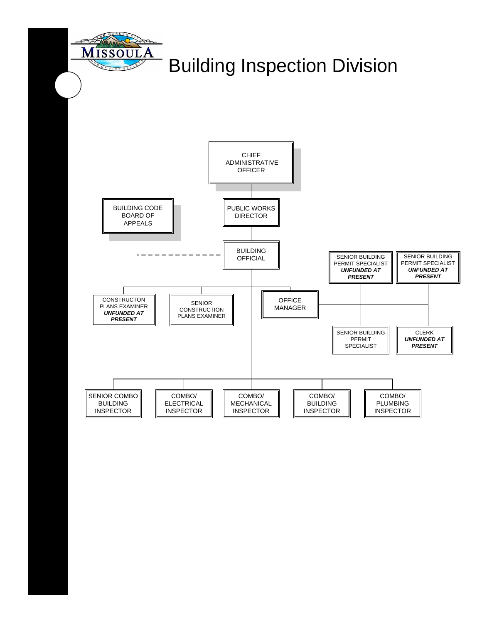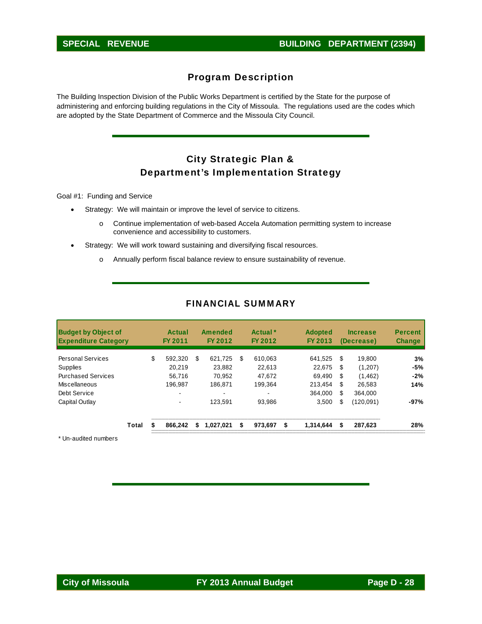# Program Description

The Building Inspection Division of the Public Works Department is certified by the State for the purpose of administering and enforcing building regulations in the City of Missoula. The regulations used are the codes which are adopted by the State Department of Commerce and the Missoula City Council.

# City Strategic Plan & Department's Implementation Strategy

Goal #1: Funding and Service

- Strategy: We will maintain or improve the level of service to citizens.
	- o Continue implementation of web-based Accela Automation permitting system to increase convenience and accessibility to customers.
- Strategy: We will work toward sustaining and diversifying fiscal resources.
	- o Annually perform fiscal balance review to ensure sustainability of revenue.

| <b>Budget by Object of</b><br><b>Expenditure Category</b> |       | Actual<br>FY 2011 |   | Amended<br>FY 2012 |    | Actual <sup>*</sup><br>FY 2012 | <b>Adopted</b><br>FY 2013 |     | <b>Increase</b><br>(Decrease) | <b>Percent</b><br><b>Change</b> |
|-----------------------------------------------------------|-------|-------------------|---|--------------------|----|--------------------------------|---------------------------|-----|-------------------------------|---------------------------------|
| <b>Personal Services</b>                                  |       | \$<br>592.320     | S | 621,725            | S. | 610.063                        | 641.525                   | \$. | 19.800                        | 3%                              |
| Supplies                                                  |       | 20.219            |   | 23.882             |    | 22.613                         | 22.675                    | -S  | (1,207)                       | -5%                             |
| <b>Purchased Services</b>                                 |       | 56.716            |   | 70.952             |    | 47.672                         | 69.490                    | \$  | (1, 462)                      | $-2%$                           |
| Miscellaneous                                             |       | 196.987           |   | 186.871            |    | 199.364                        | 213.454                   | \$  | 26.583                        | 14%                             |
| Debt Service                                              |       |                   |   |                    |    |                                | 364.000                   | S   | 364.000                       |                                 |
| Capital Outlay                                            |       | ۰                 |   | 123.591            |    | 93.986                         | 3,500                     | S   | (120, 091)                    | $-97%$                          |
|                                                           | Total | 866.242           | S | 1.027.021          | S  | 973,697                        | \$<br>1.314.644           | \$  | 287,623                       | 28%                             |

## FINANCIAL SUMMARY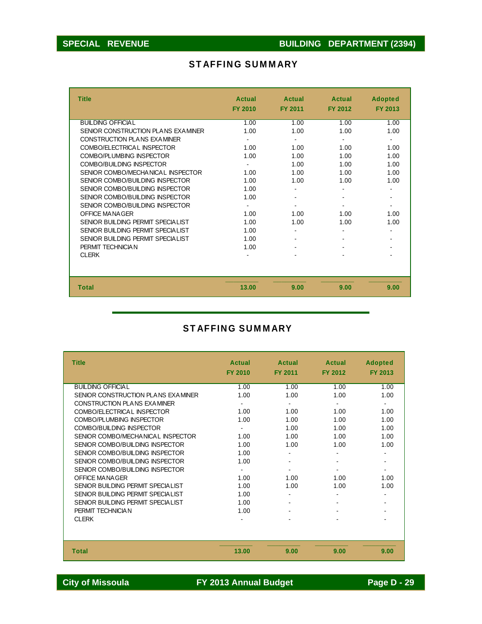# STAFFING SUMMARY

| <b>Title</b>                       | <b>Actual</b><br><b>FY 2010</b> | Actual<br><b>FY 2011</b> | <b>Actual</b><br><b>FY 2012</b> | <b>Adopted</b><br><b>FY 2013</b> |
|------------------------------------|---------------------------------|--------------------------|---------------------------------|----------------------------------|
| BUILDING OFFICIAL                  | 1.00                            | 1.00                     | 1.00                            | 1.00                             |
| SENIOR CONSTRUCTION PLANS EXAMINER | 1.00                            | 1.00                     | 1.00                            | 1.00                             |
| CONSTRUCTION PLANS EXAMINER        |                                 | ۰                        | $\blacksquare$                  |                                  |
| COMBO/ELECTRICAL INSPECTOR         | 1.00                            | 1.00                     | 1.00                            | 1.00                             |
| COMBO/PLUMBING INSPECTOR           | 1.00                            | 1.00                     | 1.00                            | 1.00                             |
| COMBO/BUILDING INSPECTOR           |                                 | 1.00                     | 1.00                            | 1.00                             |
| SENIOR COMBO/MECHANICAL INSPECTOR  | 1.00                            | 1.00                     | 1.00                            | 1.00                             |
| SENIOR COMBO/BUILDING INSPECTOR    | 1.00                            | 1.00                     | 1.00                            | 1.00                             |
| SENIOR COMBO/BUILDING INSPECTOR    | 1.00                            |                          |                                 |                                  |
| SENIOR COMBO/BUILDING INSPECTOR    | 1.00                            |                          |                                 |                                  |
| SENIOR COMBO/BUILDING INSPECTOR    |                                 |                          |                                 |                                  |
| OFFICE MANAGER                     | 1.00                            | 1.00                     | 1.00                            | 1.00                             |
| SENIOR BUILDING PERMIT SPECIALIST  | 1.00                            | 1.00                     | 1.00                            | 1.00                             |
| SENIOR BUILDING PERMIT SPECIALIST  | 1.00                            |                          |                                 |                                  |
| SENIOR BUILDING PERMIT SPECIALIST  | 1.00                            |                          |                                 |                                  |
| PERMIT TECHNICIAN                  | 1.00                            |                          |                                 |                                  |
| <b>CLERK</b>                       |                                 |                          |                                 |                                  |
|                                    |                                 |                          |                                 |                                  |
| <b>Total</b>                       | 13.00                           | 9.00                     | 9.00                            | 9.00                             |

# STAFFING SUMMARY

| <b>Title</b>                       | Actual<br><b>FY 2010</b> | Actual<br><b>FY 2011</b> | <b>Actual</b><br><b>FY 2012</b> | <b>Adopted</b><br>FY 2013 |
|------------------------------------|--------------------------|--------------------------|---------------------------------|---------------------------|
| BUILDING OFFICIAL                  | 1.00                     | 1.00                     | 1.00                            | 1.00                      |
| SENIOR CONSTRUCTION PLANS EXAMINER | 1.00                     | 1.00                     | 1.00                            | 1.00                      |
| CONSTRUCTION PLANS EXAMINER        |                          | $\blacksquare$           |                                 | $\sim$                    |
| COMBO/ELECTRICAL INSPECTOR         | 1.00                     | 1.00                     | 1.00                            | 1.00                      |
| COMBO/PLUMBING INSPECTOR           | 1.00                     | 1.00                     | 1.00                            | 1.00                      |
| COMBO/BUILDING INSPECTOR           |                          | 1.00                     | 1.00                            | 1.00                      |
| SENIOR COMBO/MECHANICAL INSPECTOR  | 1.00                     | 1.00                     | 1.00                            | 1.00                      |
| SENIOR COMBO/BUILDING INSPECTOR    | 1.00                     | 1.00                     | 1.00                            | 1.00                      |
| SENIOR COMBO/BUILDING INSPECTOR    | 1.00                     |                          |                                 |                           |
| SENIOR COMBO/BUILDING INSPECTOR    | 1.00                     |                          |                                 |                           |
| SENIOR COMBO/BUILDING INSPECTOR    |                          |                          |                                 | $\blacksquare$            |
| OFFICE MANAGER                     | 1.00                     | 1.00                     | 1.00                            | 1.00                      |
| SENIOR BUILDING PERMIT SPECIAL IST | 1.00                     | 1.00                     | 1.00                            | 1.00                      |
| SENIOR BUILDING PERMIT SPECIAL IST | 1.00                     |                          |                                 |                           |
| SENIOR BUILDING PERMIT SPECIAL IST | 1.00                     |                          |                                 |                           |
| PERMIT TECHNICIAN                  | 1.00                     |                          |                                 |                           |
| <b>CLERK</b>                       |                          |                          |                                 |                           |
|                                    |                          |                          |                                 |                           |
| <b>Total</b>                       | 13.00                    | 9.00                     | 9.00                            | 9.00                      |

City of Missoula **FY 2013 Annual Budget** Page D - 29